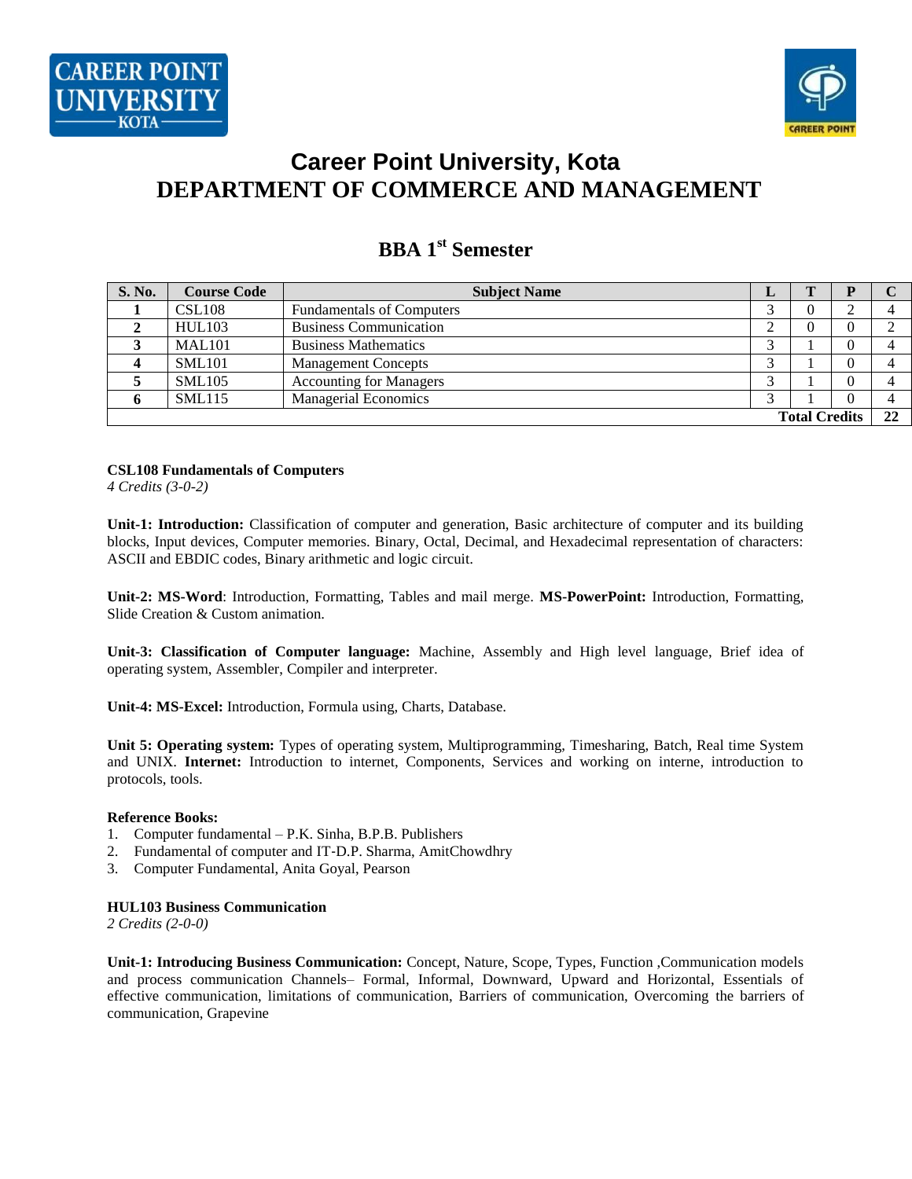

# **Career Point University, Kota DEPARTMENT OF COMMERCE AND MANAGEMENT**

| <b>S. No.</b>        | <b>Course Code</b> | <b>Subject Name</b>              | ≖ |  |    |
|----------------------|--------------------|----------------------------------|---|--|----|
|                      | <b>CSL108</b>      | <b>Fundamentals of Computers</b> |   |  |    |
|                      | <b>HUL103</b>      | <b>Business Communication</b>    |   |  |    |
|                      | <b>MAL101</b>      | <b>Business Mathematics</b>      | ◠ |  |    |
|                      | <b>SML101</b>      | <b>Management Concepts</b>       |   |  |    |
|                      | SML105             | <b>Accounting for Managers</b>   |   |  |    |
|                      | <b>SML115</b>      | <b>Managerial Economics</b>      | ⌒ |  |    |
| <b>Total Credits</b> |                    |                                  |   |  | 22 |

# **BBA 1 st Semester**

**CSL108 Fundamentals of Computers** *4 Credits (3-0-2)*

**Unit-1: Introduction:** Classification of computer and generation, Basic architecture of computer and its building blocks, Input devices, Computer memories. Binary, Octal, Decimal, and Hexadecimal representation of characters: ASCII and EBDIC codes, Binary arithmetic and logic circuit.

**Unit-2: MS-Word**: Introduction, Formatting, Tables and mail merge. **MS-PowerPoint:** Introduction, Formatting, Slide Creation & Custom animation.

**Unit-3: Classification of Computer language:** Machine, Assembly and High level language, Brief idea of operating system, Assembler, Compiler and interpreter.

**Unit-4: MS-Excel:** Introduction, Formula using, Charts, Database.

**Unit 5: Operating system:** Types of operating system, Multiprogramming, Timesharing, Batch, Real time System and UNIX. **Internet:** Introduction to internet, Components, Services and working on interne, introduction to protocols, tools.

#### **Reference Books:**

- 1. Computer fundamental P.K. Sinha, B.P.B. Publishers
- 2. Fundamental of computer and IT‐D.P. Sharma, AmitChowdhry
- 3. Computer Fundamental, Anita Goyal, Pearson

#### **HUL103 Business Communication**

*2 Credits (2-0-0)*

**Unit-1: Introducing Business Communication:** Concept, Nature, Scope, Types, Function ,Communication models and process communication Channels– Formal, Informal, Downward, Upward and Horizontal, Essentials of effective communication, limitations of communication, Barriers of communication, Overcoming the barriers of communication, Grapevine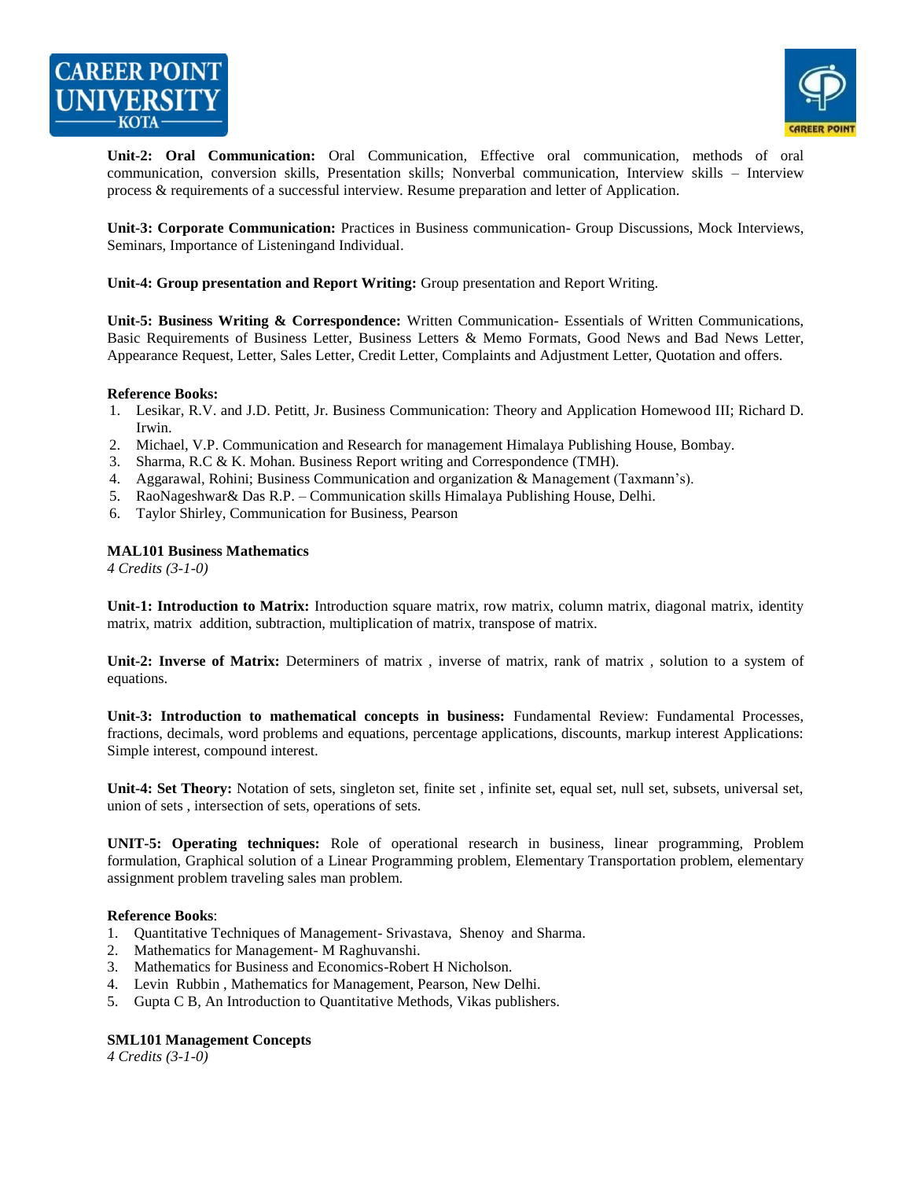



**Unit-2: Oral Communication:** Oral Communication, Effective oral communication, methods of oral communication, conversion skills, Presentation skills; Nonverbal communication, Interview skills – Interview process & requirements of a successful interview. Resume preparation and letter of Application.

**Unit-3: Corporate Communication:** Practices in Business communication- Group Discussions, Mock Interviews, Seminars, Importance of Listeningand Individual.

**Unit-4: Group presentation and Report Writing:** Group presentation and Report Writing.

**Unit-5: Business Writing & Correspondence:** Written Communication- Essentials of Written Communications, Basic Requirements of Business Letter, Business Letters & Memo Formats, Good News and Bad News Letter, Appearance Request, Letter, Sales Letter, Credit Letter, Complaints and Adjustment Letter, Quotation and offers.

#### **Reference Books:**

- 1. Lesikar, R.V. and J.D. Petitt, Jr. Business Communication: Theory and Application Homewood III; Richard D. Irwin.
- 2. Michael, V.P. Communication and Research for management Himalaya Publishing House, Bombay.
- 3. Sharma, R.C & K. Mohan. Business Report writing and Correspondence (TMH).
- 4. Aggarawal, Rohini; Business Communication and organization & Management (Taxmann's).
- 5. RaoNageshwar& Das R.P. Communication skills Himalaya Publishing House, Delhi.
- 6. Taylor Shirley, Communication for Business, Pearson

#### **MAL101 Business Mathematics**

*4 Credits (3-1-0)*

**Unit-1: Introduction to Matrix:** Introduction square matrix, row matrix, column matrix, diagonal matrix, identity matrix, matrix addition, subtraction, multiplication of matrix, transpose of matrix.

**Unit-2: Inverse of Matrix:** Determiners of matrix , inverse of matrix, rank of matrix , solution to a system of equations.

**Unit-3: Introduction to mathematical concepts in business:** Fundamental Review: Fundamental Processes, fractions, decimals, word problems and equations, percentage applications, discounts, markup interest Applications: Simple interest, compound interest.

**Unit-4: Set Theory:** Notation of sets, singleton set, finite set , infinite set, equal set, null set, subsets, universal set, union of sets , intersection of sets, operations of sets.

**UNIT-5: Operating techniques:** Role of operational research in business, linear programming, Problem formulation, Graphical solution of a Linear Programming problem, Elementary Transportation problem, elementary assignment problem traveling sales man problem.

#### **Reference Books**:

- 1. Quantitative Techniques of Management- Srivastava, Shenoy and Sharma.
- 2. Mathematics for Management- M Raghuvanshi.
- 3. Mathematics for Business and Economics-Robert H Nicholson.
- 4. Levin Rubbin , Mathematics for Management, Pearson, New Delhi.
- 5. Gupta C B, An Introduction to Quantitative Methods, Vikas publishers.

#### **SML101 Management Concepts**

*4 Credits (3-1-0)*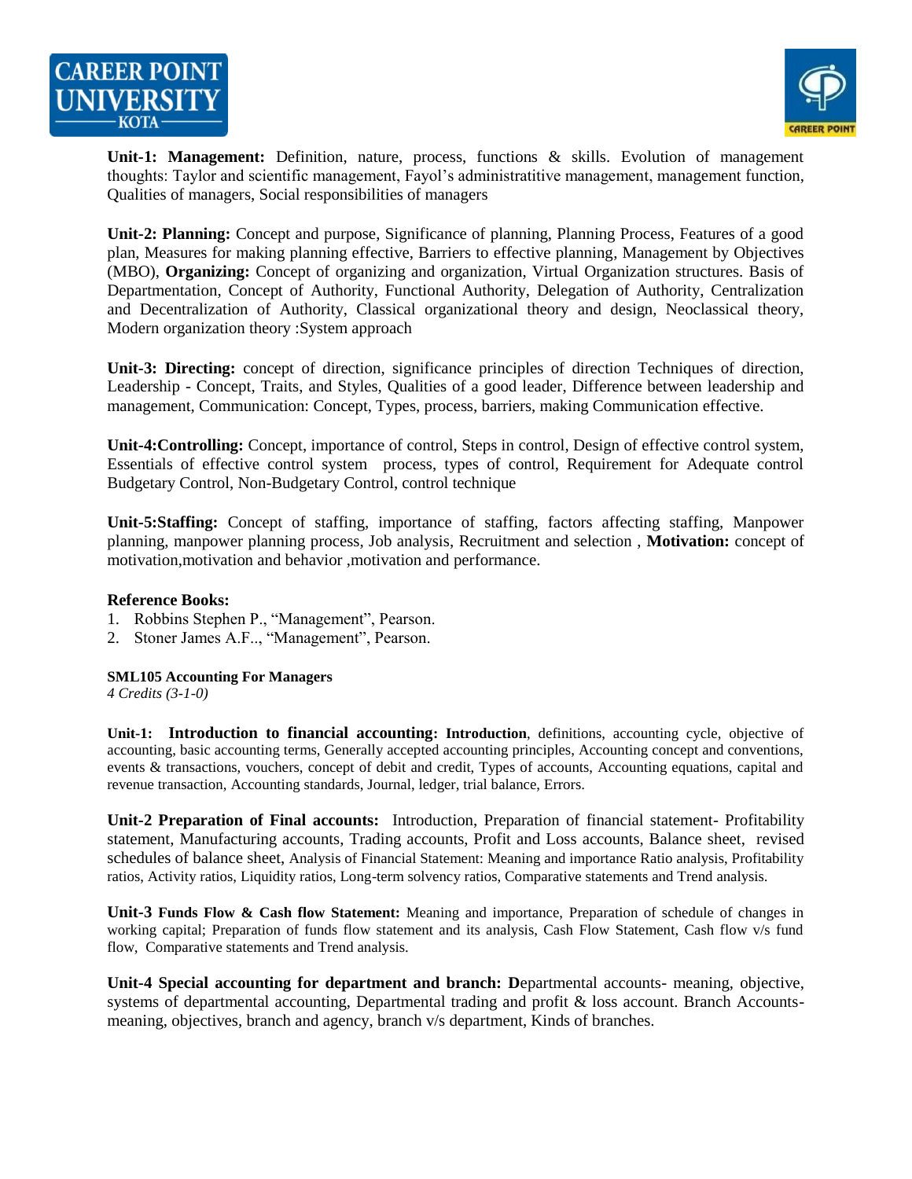



**Unit-1: Management:** Definition, nature, process, functions & skills. Evolution of management thoughts: Taylor and scientific management, Fayol's administratitive management, management function, Qualities of managers, Social responsibilities of managers

**Unit-2: Planning:** Concept and purpose, Significance of planning, Planning Process, Features of a good plan, Measures for making planning effective, Barriers to effective planning, Management by Objectives (MBO), **Organizing:** Concept of organizing and organization, Virtual Organization structures. Basis of Departmentation, Concept of Authority, Functional Authority, Delegation of Authority, Centralization and Decentralization of Authority, Classical organizational theory and design, Neoclassical theory, Modern organization theory :System approach

**Unit-3: Directing:** concept of direction, significance principles of direction Techniques of direction, Leadership - Concept, Traits, and Styles, Qualities of a good leader, Difference between leadership and management, Communication: Concept, Types, process, barriers, making Communication effective.

**Unit-4:Controlling:** Concept, importance of control, Steps in control, Design of effective control system, Essentials of effective control system process, types of control, Requirement for Adequate control Budgetary Control, Non-Budgetary Control, control technique

**Unit-5:Staffing:** Concept of staffing, importance of staffing, factors affecting staffing, Manpower planning, manpower planning process, Job analysis, Recruitment and selection , **Motivation:** concept of motivation,motivation and behavior ,motivation and performance.

#### **Reference Books:**

- 1. Robbins Stephen P., "Management", Pearson.
- 2. Stoner James A.F.., "Management", Pearson.

#### **SML105 Accounting For Managers**

*4 Credits (3-1-0)*

**Unit-1: Introduction to financial accounting: Introduction**, definitions, accounting cycle, objective of accounting, basic accounting terms, Generally accepted accounting principles, Accounting concept and conventions, events & transactions, vouchers, concept of debit and credit, Types of accounts, Accounting equations, capital and revenue transaction, Accounting standards, Journal, ledger, trial balance, Errors.

**Unit-2 Preparation of Final accounts:** Introduction, Preparation of financial statement- Profitability statement, Manufacturing accounts, Trading accounts, Profit and Loss accounts, Balance sheet, revised schedules of balance sheet, Analysis of Financial Statement: Meaning and importance Ratio analysis, Profitability ratios, Activity ratios, Liquidity ratios, Long-term solvency ratios, Comparative statements and Trend analysis.

**Unit-3 Funds Flow & Cash flow Statement:** Meaning and importance, Preparation of schedule of changes in working capital; Preparation of funds flow statement and its analysis, Cash Flow Statement, Cash flow v/s fund flow, Comparative statements and Trend analysis.

**Unit-4 Special accounting for department and branch: D**epartmental accounts- meaning, objective, systems of departmental accounting, Departmental trading and profit & loss account. Branch Accountsmeaning, objectives, branch and agency, branch v/s department, Kinds of branches.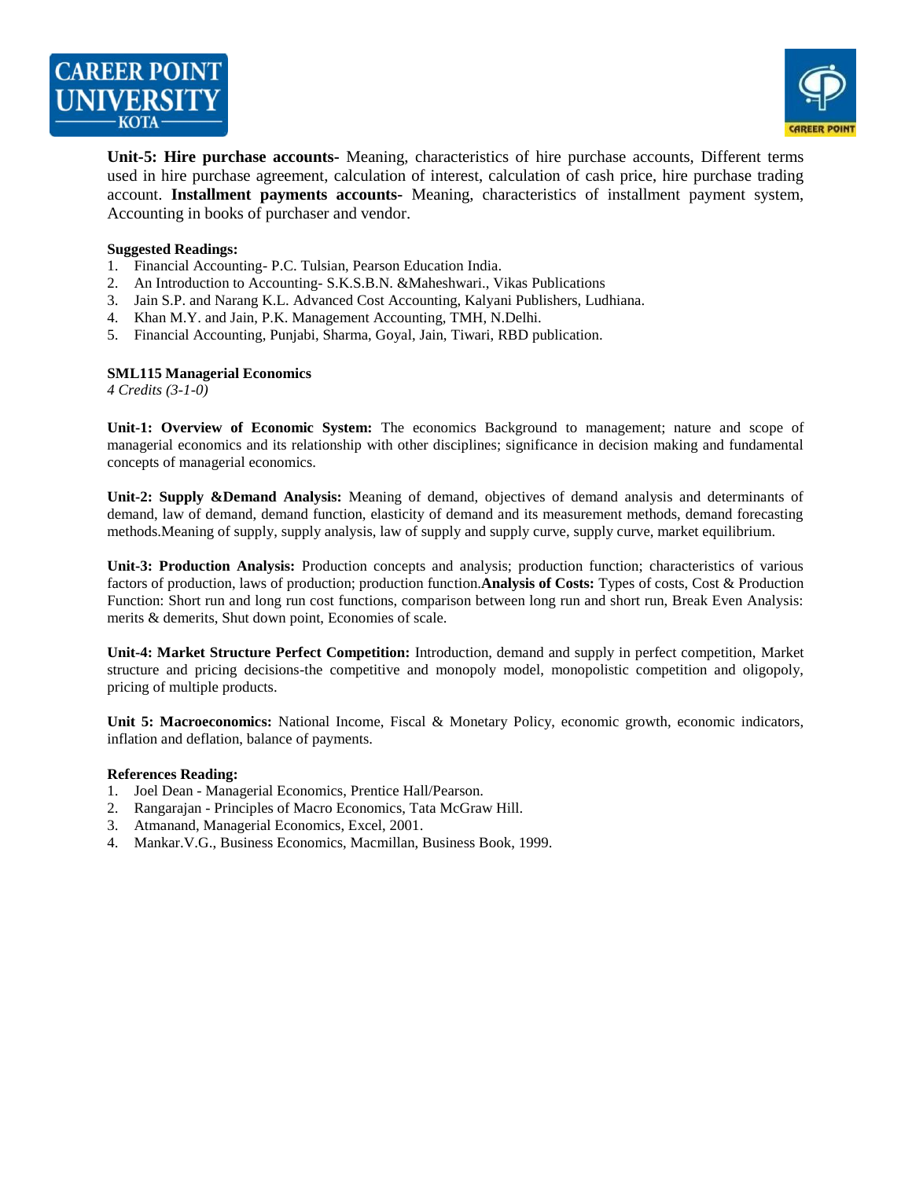



**Unit-5: Hire purchase accounts-** Meaning, characteristics of hire purchase accounts, Different terms used in hire purchase agreement, calculation of interest, calculation of cash price, hire purchase trading account. **Installment payments accounts-** Meaning, characteristics of installment payment system, Accounting in books of purchaser and vendor.

#### **Suggested Readings:**

- 1. Financial Accounting- P.C. Tulsian, Pearson Education India.
- 2. An Introduction to Accounting- S.K.S.B.N. &Maheshwari., Vikas Publications
- 3. Jain S.P. and Narang K.L. Advanced Cost Accounting, Kalyani Publishers, Ludhiana.
- 4. Khan M.Y. and Jain, P.K. Management Accounting, TMH, N.Delhi.
- 5. Financial Accounting, Punjabi, Sharma, Goyal, Jain, Tiwari, RBD publication.

#### **SML115 Managerial Economics**

*4 Credits (3-1-0)*

**Unit-1: Overview of Economic System:** The economics Background to management; nature and scope of managerial economics and its relationship with other disciplines; significance in decision making and fundamental concepts of managerial economics.

**Unit-2: Supply &Demand Analysis:** Meaning of demand, objectives of demand analysis and determinants of demand, law of demand, demand function, elasticity of demand and its measurement methods, demand forecasting methods.Meaning of supply, supply analysis, law of supply and supply curve, supply curve, market equilibrium.

**Unit-3: Production Analysis:** Production concepts and analysis; production function; characteristics of various factors of production, laws of production; production function.**Analysis of Costs:** Types of costs, Cost & Production Function: Short run and long run cost functions, comparison between long run and short run, Break Even Analysis: merits & demerits, Shut down point, Economies of scale.

**Unit-4: Market Structure Perfect Competition:** Introduction, demand and supply in perfect competition, Market structure and pricing decisions-the competitive and monopoly model, monopolistic competition and oligopoly, pricing of multiple products.

Unit 5: Macroeconomics: National Income, Fiscal & Monetary Policy, economic growth, economic indicators, inflation and deflation, balance of payments.

#### **References Reading:**

- 1. Joel Dean Managerial Economics, Prentice Hall/Pearson.
- 2. Rangarajan Principles of Macro Economics, Tata McGraw Hill.
- 3. Atmanand, Managerial Economics, Excel, 2001.
- 4. Mankar.V.G., Business Economics, Macmillan, Business Book, 1999.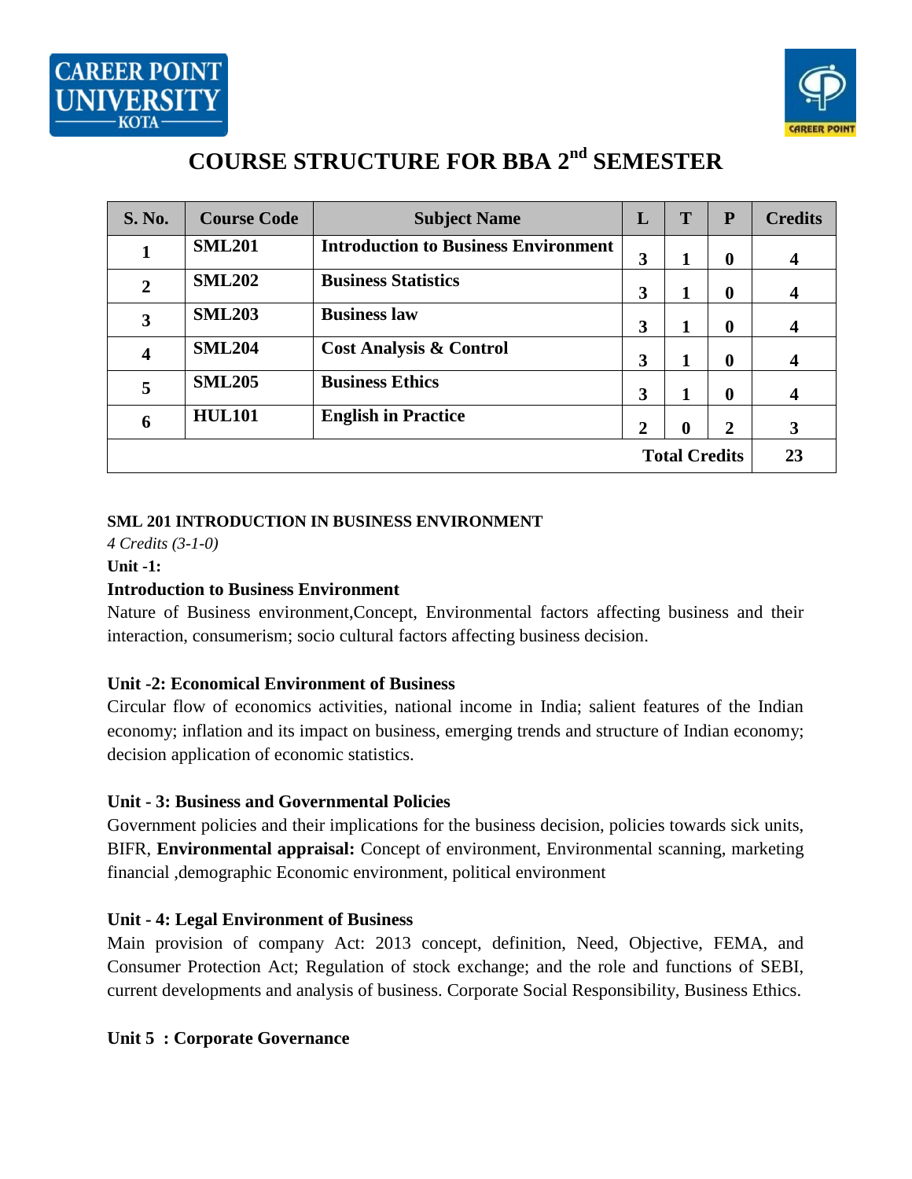



# **COURSE STRUCTURE FOR BBA 2 nd SEMESTER**

| <b>S. No.</b>        | <b>Course Code</b> | <b>Subject Name</b>                         | L              | T                | P                | <b>Credits</b>          |
|----------------------|--------------------|---------------------------------------------|----------------|------------------|------------------|-------------------------|
| 1                    | <b>SML201</b>      | <b>Introduction to Business Environment</b> | 3              | 1                | $\bf{0}$         | $\overline{\mathbf{4}}$ |
| $\overline{2}$       | <b>SML202</b>      | <b>Business Statistics</b>                  | 3              | 1                | $\bf{0}$         | 4                       |
| 3                    | <b>SML203</b>      | <b>Business law</b>                         | 3              | 1                | $\boldsymbol{0}$ | 4                       |
| $\boldsymbol{4}$     | <b>SML204</b>      | <b>Cost Analysis &amp; Control</b>          | 3              | 1                | $\boldsymbol{0}$ | $\boldsymbol{4}$        |
| 5                    | <b>SML205</b>      | <b>Business Ethics</b>                      | 3              | 1                | $\boldsymbol{0}$ | 4                       |
| 6                    | <b>HUL101</b>      | <b>English in Practice</b>                  | $\overline{2}$ | $\boldsymbol{0}$ | $\overline{2}$   | 3                       |
| <b>Total Credits</b> |                    |                                             |                |                  |                  | 23                      |

## **SML 201 INTRODUCTION IN BUSINESS ENVIRONMENT**

*4 Credits (3-1-0)*

#### **Unit -1:**

## **Introduction to Business Environment**

Nature of Business environment,Concept, Environmental factors affecting business and their interaction, consumerism; socio cultural factors affecting business decision.

## **Unit -2: Economical Environment of Business**

Circular flow of economics activities, national income in India; salient features of the Indian economy; inflation and its impact on business, emerging trends and structure of Indian economy; decision application of economic statistics.

## **Unit - 3: Business and Governmental Policies**

Government policies and their implications for the business decision, policies towards sick units, BIFR, **Environmental appraisal:** Concept of environment, Environmental scanning, marketing financial ,demographic Economic environment, political environment

## **Unit - 4: Legal Environment of Business**

Main provision of company Act: 2013 concept, definition, Need, Objective, FEMA, and Consumer Protection Act; Regulation of stock exchange; and the role and functions of SEBI, current developments and analysis of business. Corporate Social Responsibility, Business Ethics.

## **Unit 5 : Corporate Governance**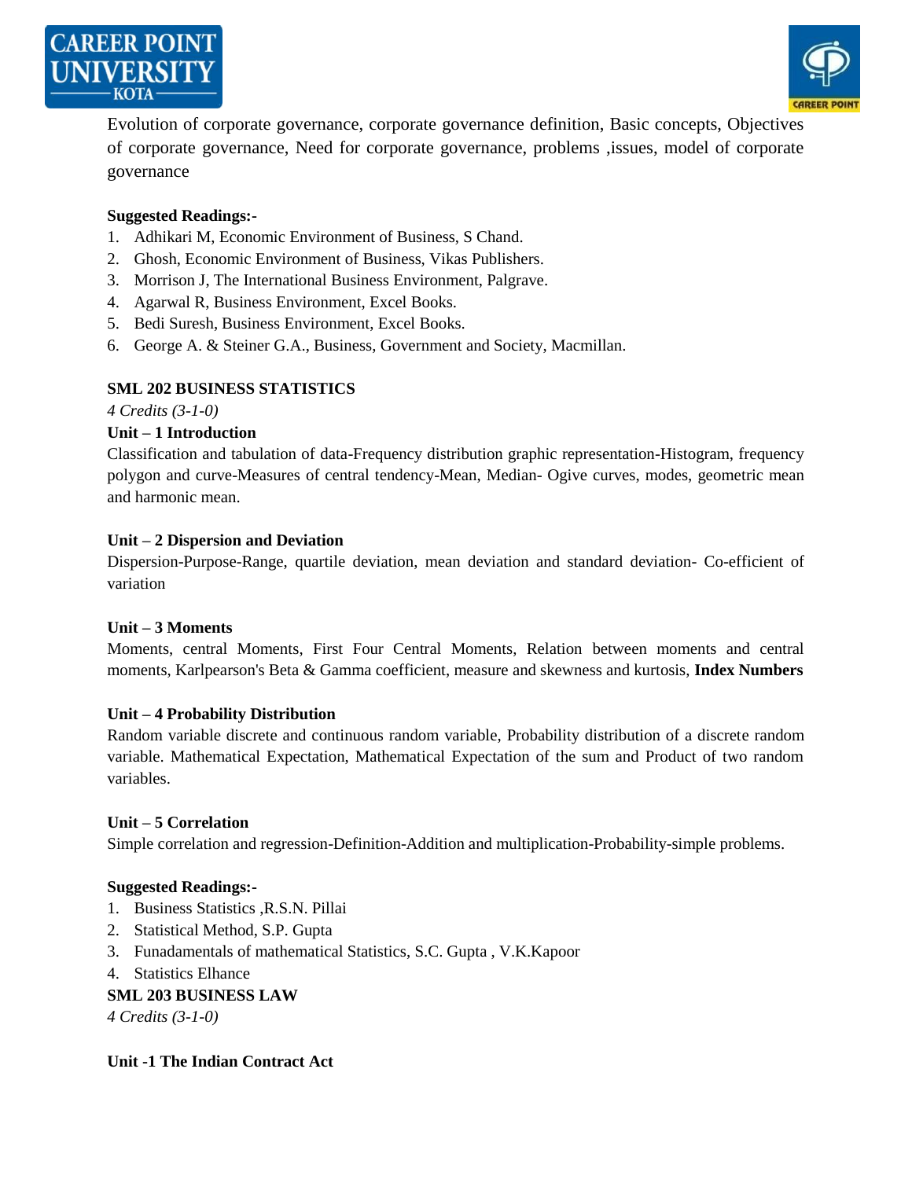



Evolution of corporate governance, corporate governance definition, Basic concepts, Objectives of corporate governance, Need for corporate governance, problems ,issues, model of corporate governance

#### **Suggested Readings:-**

- 1. Adhikari M, Economic Environment of Business, S Chand.
- 2. Ghosh, Economic Environment of Business, Vikas Publishers.
- 3. Morrison J, The International Business Environment, Palgrave.
- 4. Agarwal R, Business Environment, Excel Books.
- 5. Bedi Suresh, Business Environment, Excel Books.
- 6. George A. & Steiner G.A., Business, Government and Society, Macmillan.

#### **SML 202 BUSINESS STATISTICS**

*4 Credits (3-1-0)*

#### **Unit – 1 Introduction**

Classification and tabulation of data-Frequency distribution graphic representation-Histogram, frequency polygon and curve-Measures of central tendency-Mean, Median- Ogive curves, modes, geometric mean and harmonic mean.

#### **Unit – 2 Dispersion and Deviation**

Dispersion-Purpose-Range, quartile deviation, mean deviation and standard deviation- Co-efficient of variation

#### **Unit – 3 Moments**

Moments, central Moments, First Four Central Moments, Relation between moments and central moments, Karlpearson's Beta & Gamma coefficient, measure and skewness and kurtosis, **Index Numbers**

#### **Unit – 4 Probability Distribution**

Random variable discrete and continuous random variable, Probability distribution of a discrete random variable. Mathematical Expectation, Mathematical Expectation of the sum and Product of two random variables.

#### **Unit – 5 Correlation**

Simple correlation and regression-Definition-Addition and multiplication-Probability-simple problems.

#### **Suggested Readings:-**

- 1. Business Statistics ,R.S.N. Pillai
- 2. Statistical Method, S.P. Gupta
- 3. Funadamentals of mathematical Statistics, S.C. Gupta , V.K.Kapoor
- 4. Statistics Elhance

#### **SML 203 BUSINESS LAW**

*4 Credits (3-1-0)*

#### **Unit -1 The Indian Contract Act**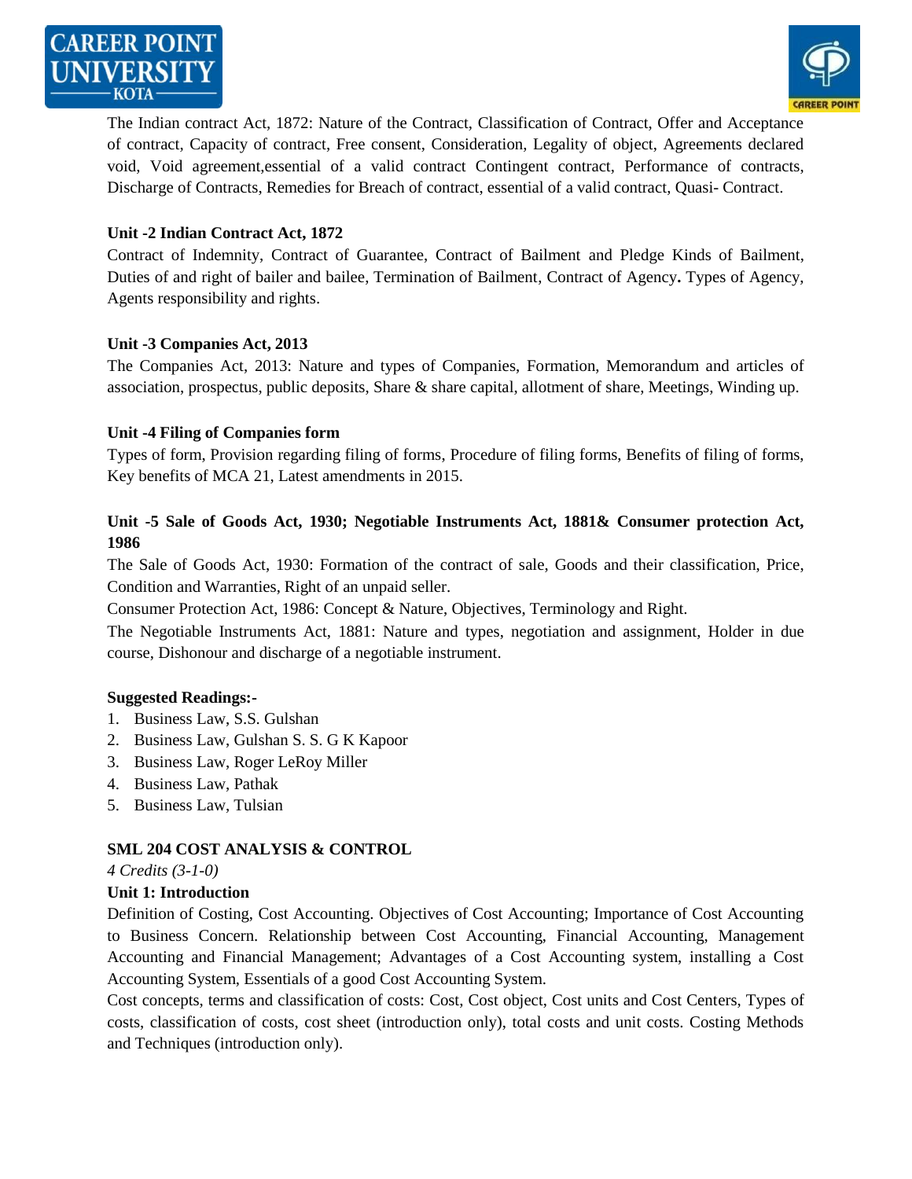



The Indian contract Act, 1872: Nature of the Contract, Classification of Contract, Offer and Acceptance of contract, Capacity of contract, Free consent, Consideration, Legality of object, Agreements declared void, Void agreement,essential of a valid contract Contingent contract, Performance of contracts, Discharge of Contracts, Remedies for Breach of contract, essential of a valid contract, Quasi- Contract.

#### **Unit -2 Indian Contract Act, 1872**

Contract of Indemnity, Contract of Guarantee, Contract of Bailment and Pledge Kinds of Bailment, Duties of and right of bailer and bailee, Termination of Bailment, Contract of Agency**.** Types of Agency, Agents responsibility and rights.

#### **Unit -3 Companies Act, 2013**

The Companies Act, 2013: Nature and types of Companies, Formation, Memorandum and articles of association, prospectus, public deposits, Share & share capital, allotment of share, Meetings, Winding up.

#### **Unit -4 Filing of Companies form**

Types of form, Provision regarding filing of forms, Procedure of filing forms, Benefits of filing of forms, Key benefits of MCA 21, Latest amendments in 2015.

#### **Unit -5 Sale of Goods Act, 1930; Negotiable Instruments Act, 1881& Consumer protection Act, 1986**

The Sale of Goods Act, 1930: Formation of the contract of sale, Goods and their classification, Price, Condition and Warranties, Right of an unpaid seller.

Consumer Protection Act, 1986: Concept & Nature, Objectives, Terminology and Right.

The Negotiable Instruments Act, 1881: Nature and types, negotiation and assignment, Holder in due course, Dishonour and discharge of a negotiable instrument.

#### **Suggested Readings:-**

- 1. Business Law, S.S. Gulshan
- 2. Business Law, Gulshan S. S. G K Kapoor
- 3. Business Law, Roger LeRoy Miller
- 4. Business Law, Pathak
- 5. Business Law, Tulsian

#### **SML 204 COST ANALYSIS & CONTROL**

*4 Credits (3-1-0)*

#### **Unit 1: Introduction**

Definition of Costing, Cost Accounting. Objectives of Cost Accounting; Importance of Cost Accounting to Business Concern. Relationship between Cost Accounting, Financial Accounting, Management Accounting and Financial Management; Advantages of a Cost Accounting system, installing a Cost Accounting System, Essentials of a good Cost Accounting System.

Cost concepts, terms and classification of costs: Cost, Cost object, Cost units and Cost Centers, Types of costs, classification of costs, cost sheet (introduction only), total costs and unit costs. Costing Methods and Techniques (introduction only).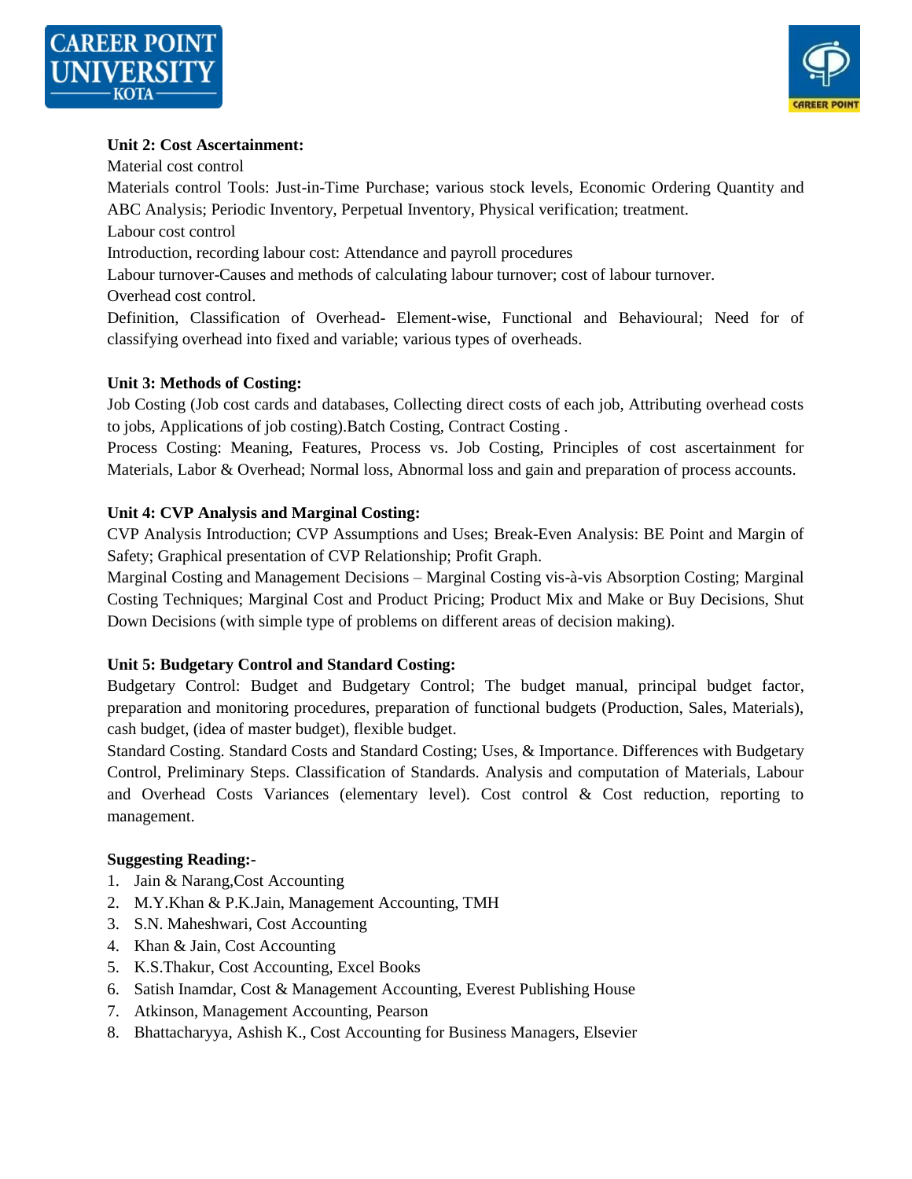



#### **Unit 2: Cost Ascertainment:**

Material cost control

Materials control Tools: Just-in-Time Purchase; various stock levels, Economic Ordering Quantity and ABC Analysis; Periodic Inventory, Perpetual Inventory, Physical verification; treatment.

Labour cost control

Introduction, recording labour cost: Attendance and payroll procedures

Labour turnover-Causes and methods of calculating labour turnover; cost of labour turnover.

Overhead cost control.

Definition, Classification of Overhead- Element-wise, Functional and Behavioural; Need for of classifying overhead into fixed and variable; various types of overheads.

#### **Unit 3: Methods of Costing:**

Job Costing (Job cost cards and databases, Collecting direct costs of each job, Attributing overhead costs to jobs, Applications of job costing).Batch Costing, Contract Costing .

Process Costing: Meaning, Features, Process vs. Job Costing, Principles of cost ascertainment for Materials, Labor & Overhead; Normal loss, Abnormal loss and gain and preparation of process accounts.

#### **Unit 4: CVP Analysis and Marginal Costing:**

CVP Analysis Introduction; CVP Assumptions and Uses; Break-Even Analysis: BE Point and Margin of Safety; Graphical presentation of CVP Relationship; Profit Graph.

Marginal Costing and Management Decisions – Marginal Costing vis-à-vis Absorption Costing; Marginal Costing Techniques; Marginal Cost and Product Pricing; Product Mix and Make or Buy Decisions, Shut Down Decisions (with simple type of problems on different areas of decision making).

#### **Unit 5: Budgetary Control and Standard Costing:**

Budgetary Control: Budget and Budgetary Control; The budget manual, principal budget factor, preparation and monitoring procedures, preparation of functional budgets (Production, Sales, Materials), cash budget, (idea of master budget), flexible budget.

Standard Costing. Standard Costs and Standard Costing; Uses, & Importance. Differences with Budgetary Control, Preliminary Steps. Classification of Standards. Analysis and computation of Materials, Labour and Overhead Costs Variances (elementary level). Cost control & Cost reduction, reporting to management.

#### **Suggesting Reading:-**

- 1. Jain & Narang,Cost Accounting
- 2. M.Y.Khan & P.K.Jain, Management Accounting, TMH
- 3. S.N. Maheshwari, Cost Accounting
- 4. Khan & Jain, Cost Accounting
- 5. K.S.Thakur, Cost Accounting, Excel Books
- 6. Satish Inamdar, Cost & Management Accounting, Everest Publishing House
- 7. Atkinson, Management Accounting, Pearson
- 8. Bhattacharyya, Ashish K., Cost Accounting for Business Managers, Elsevier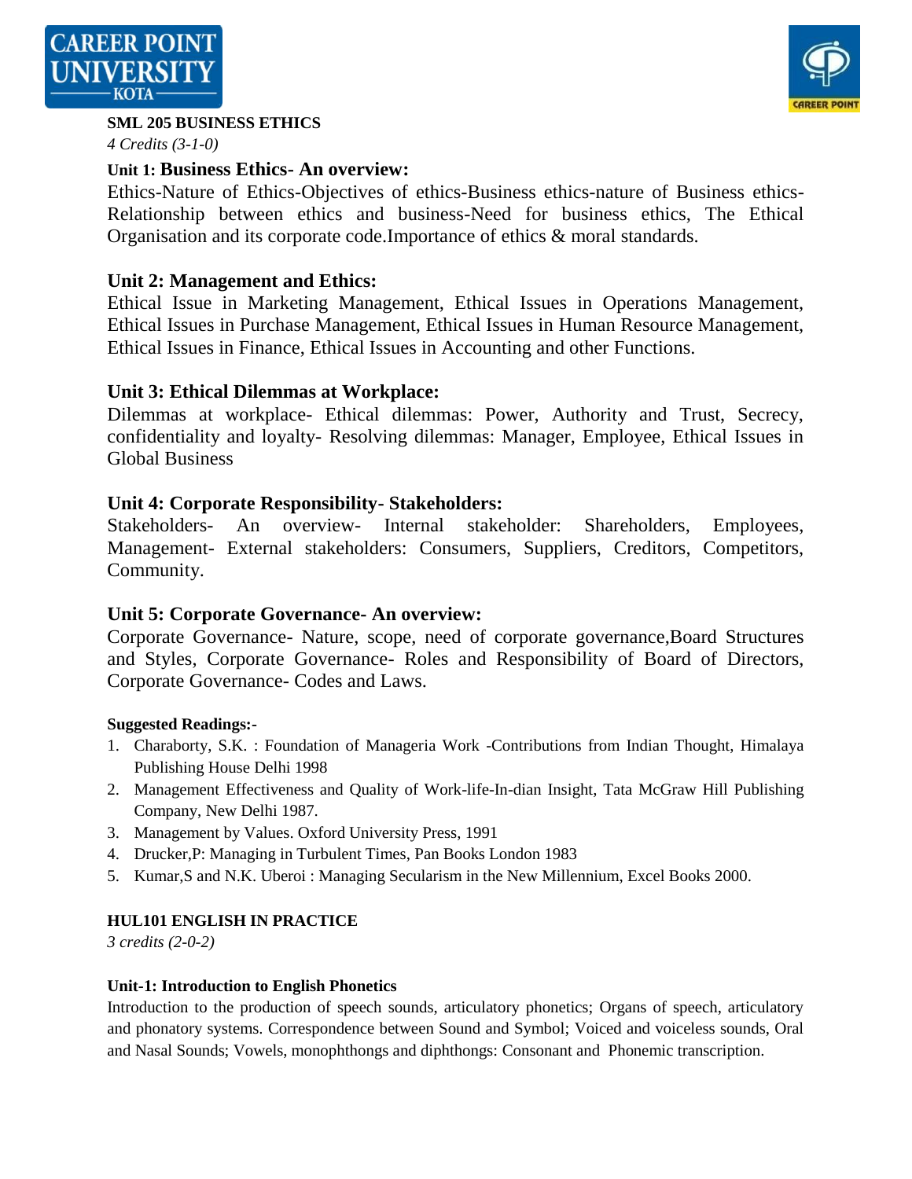



#### **SML 205 BUSINESS ETHICS**

*4 Credits (3-1-0)*

# **Unit 1: Business Ethics- An overview:**

Ethics-Nature of Ethics-Objectives of ethics-Business ethics-nature of Business ethics-Relationship between ethics and business-Need for business ethics, The Ethical Organisation and its corporate code.Importance of ethics & moral standards.

# **Unit 2: Management and Ethics:**

Ethical Issue in Marketing Management, Ethical Issues in Operations Management, Ethical Issues in Purchase Management, Ethical Issues in Human Resource Management, Ethical Issues in Finance, Ethical Issues in Accounting and other Functions.

# **Unit 3: Ethical Dilemmas at Workplace:**

Dilemmas at workplace- Ethical dilemmas: Power, Authority and Trust, Secrecy, confidentiality and loyalty- Resolving dilemmas: Manager, Employee, Ethical Issues in Global Business

# **Unit 4: Corporate Responsibility- Stakeholders:**

Stakeholders- An overview- Internal stakeholder: Shareholders, Employees, Management- External stakeholders: Consumers, Suppliers, Creditors, Competitors, Community.

# **Unit 5: Corporate Governance- An overview:**

Corporate Governance- Nature, scope, need of corporate governance,Board Structures and Styles, Corporate Governance- Roles and Responsibility of Board of Directors, Corporate Governance- Codes and Laws.

## **Suggested Readings:-**

- 1. Charaborty, S.K. : Foundation of Manageria Work -Contributions from Indian Thought, Himalaya Publishing House Delhi 1998
- 2. Management Effectiveness and Quality of Work-life-In-dian Insight, Tata McGraw Hill Publishing Company, New Delhi 1987.
- 3. Management by Values. Oxford University Press, 1991
- 4. Drucker,P: Managing in Turbulent Times, Pan Books London 1983
- 5. Kumar,S and N.K. Uberoi : Managing Secularism in the New Millennium, Excel Books 2000.

## **HUL101 ENGLISH IN PRACTICE**

*3 credits (2-0-2)*

## **Unit-1: Introduction to English Phonetics**

Introduction to the production of speech sounds, articulatory phonetics; Organs of speech, articulatory and phonatory systems. Correspondence between Sound and Symbol; Voiced and voiceless sounds, Oral and Nasal Sounds; Vowels, monophthongs and diphthongs: Consonant and Phonemic transcription.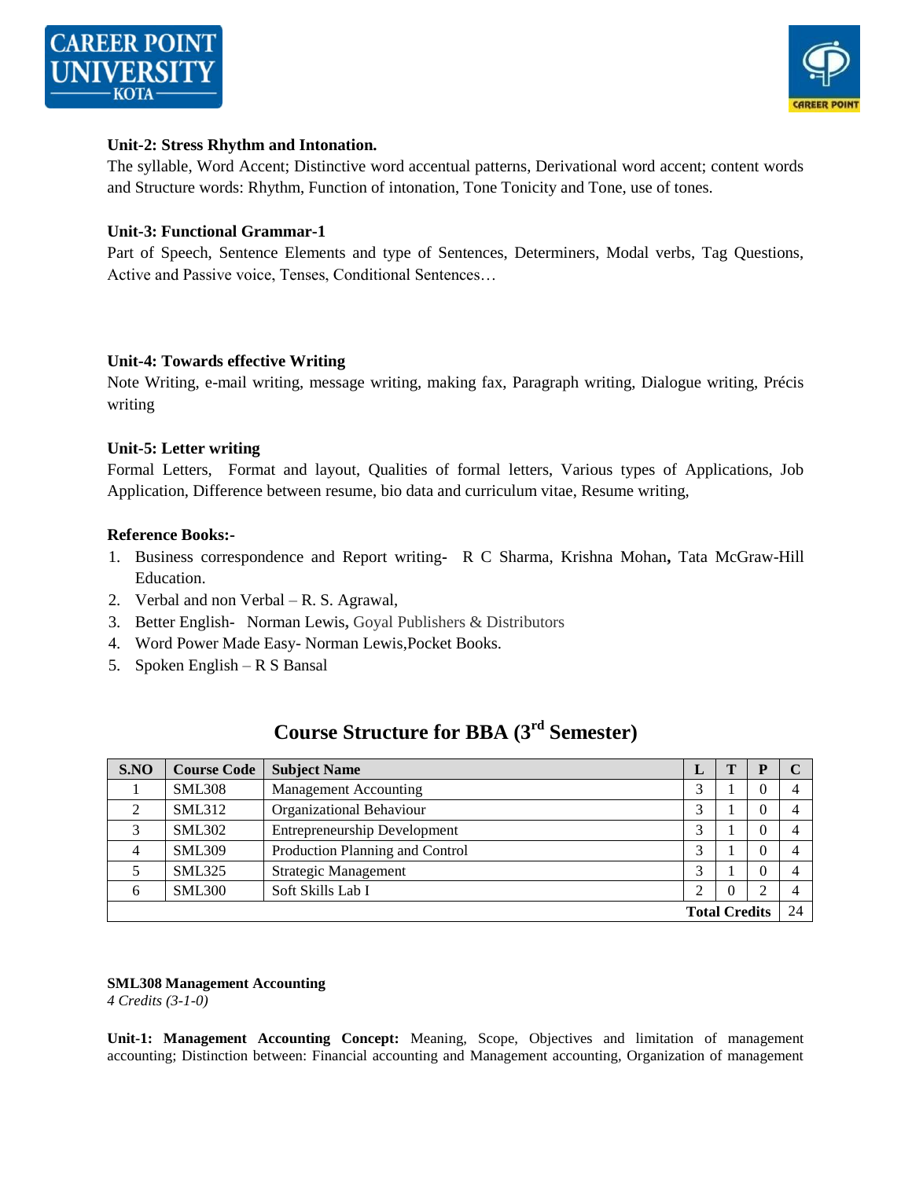



#### **Unit-2: Stress Rhythm and Intonation.**

The syllable, Word Accent; Distinctive word accentual patterns, Derivational word accent; content words and Structure words: Rhythm, Function of intonation, Tone Tonicity and Tone, use of tones.

#### **Unit-3: Functional Grammar-1**

Part of Speech, Sentence Elements and type of Sentences, Determiners, Modal verbs, Tag Questions, Active and Passive voice, Tenses, Conditional Sentences…

#### **Unit-4: Towards effective Writing**

Note Writing, e-mail writing, message writing, making fax, Paragraph writing, Dialogue writing, Précis writing

#### **Unit-5: Letter writing**

Formal Letters, Format and layout, Qualities of formal letters, Various types of Applications, Job Application, Difference between resume, bio data and curriculum vitae, Resume writing,

#### **Reference Books:-**

- 1. Business correspondence and Report writingR C Sharma, Krishna Mohan**,** [Tata McGraw-Hill](http://www.tatamcgrawhill.com/)  [Education.](http://www.tatamcgrawhill.com/)
- 2. Verbal and non Verbal R. S. Agrawal,
- 3. Better English- Norman Lewis**,** Goyal Publishers & Distributors
- 4. Word Power Made Easy- Norman Lewis,Pocket Books.
- 5. Spoken English R S Bansal

| S.NO                 | <b>Course Code</b> | <b>Subject Name</b>                 | L |  | р        |  |
|----------------------|--------------------|-------------------------------------|---|--|----------|--|
|                      | <b>SML308</b>      | <b>Management Accounting</b>        |   |  | $\Omega$ |  |
| $\mathcal{L}$        | <b>SML312</b>      | Organizational Behaviour            |   |  | $\Omega$ |  |
| $\mathfrak{D}$       | <b>SML302</b>      | <b>Entrepreneurship Development</b> |   |  | $\Omega$ |  |
| 4                    | <b>SML309</b>      | Production Planning and Control     |   |  | $\Omega$ |  |
|                      | <b>SML325</b>      | <b>Strategic Management</b>         |   |  | $\Omega$ |  |
| 6                    | <b>SML300</b>      | Soft Skills Lab I                   |   |  | ⌒        |  |
| <b>Total Credits</b> |                    |                                     |   |  |          |  |

# **Course Structure for BBA (3rd Semester)**

#### **SML308 Management Accounting**

*4 Credits (3-1-0)*

**Unit-1: Management Accounting Concept:** Meaning, Scope, Objectives and limitation of management accounting; Distinction between: Financial accounting and Management accounting, Organization of management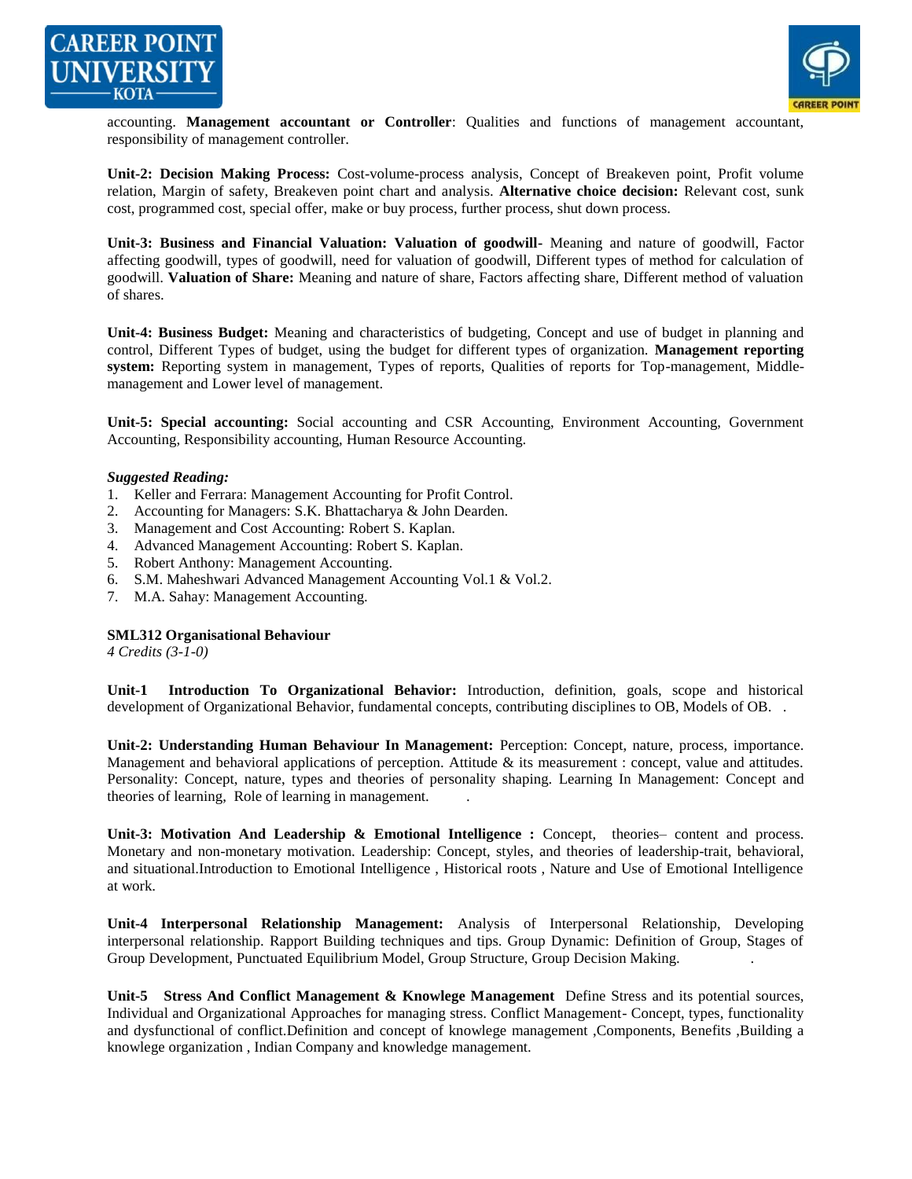



accounting. **Management accountant or Controller**: Qualities and functions of management accountant, responsibility of management controller.

**Unit-2: Decision Making Process:** Cost-volume-process analysis, Concept of Breakeven point, Profit volume relation, Margin of safety, Breakeven point chart and analysis. **Alternative choice decision:** Relevant cost, sunk cost, programmed cost, special offer, make or buy process, further process, shut down process.

**Unit-3: Business and Financial Valuation: Valuation of goodwill-** Meaning and nature of goodwill, Factor affecting goodwill, types of goodwill, need for valuation of goodwill, Different types of method for calculation of goodwill. **Valuation of Share:** Meaning and nature of share, Factors affecting share, Different method of valuation of shares.

**Unit-4: Business Budget:** Meaning and characteristics of budgeting, Concept and use of budget in planning and control, Different Types of budget, using the budget for different types of organization. **Management reporting system:** Reporting system in management, Types of reports, Qualities of reports for Top-management, Middlemanagement and Lower level of management.

**Unit-5: Special accounting:** Social accounting and CSR Accounting, Environment Accounting, Government Accounting, Responsibility accounting, Human Resource Accounting.

#### *Suggested Reading:*

- 1. Keller and Ferrara: Management Accounting for Profit Control.
- 2. Accounting for Managers: S.K. Bhattacharya & John Dearden.
- 3. Management and Cost Accounting: Robert S. Kaplan.
- 4. Advanced Management Accounting: Robert S. Kaplan.
- 5. Robert Anthony: Management Accounting.
- 6. S.M. Maheshwari Advanced Management Accounting Vol.1 & Vol.2.
- 7. M.A. Sahay: Management Accounting.

#### **SML312 Organisational Behaviour**

*4 Credits (3-1-0)*

**Unit-1 Introduction To Organizational Behavior:** Introduction, definition, goals, scope and historical development of Organizational Behavior, fundamental concepts, contributing disciplines to OB, Models of OB. .

Unit-2: Understanding Human Behaviour In Management: Perception: Concept, nature, process, importance. Management and behavioral applications of perception. Attitude & its measurement : concept, value and attitudes. Personality: Concept, nature, types and theories of personality shaping. Learning In Management: Concept and theories of learning, Role of learning in management. .

Unit-3: Motivation And Leadership & Emotional Intelligence : Concept, theories– content and process. Monetary and non-monetary motivation. Leadership: Concept, styles, and theories of leadership-trait, behavioral, and situational.Introduction to Emotional Intelligence , Historical roots , Nature and Use of Emotional Intelligence at work.

**Unit-4 Interpersonal Relationship Management:** Analysis of Interpersonal Relationship, Developing interpersonal relationship. Rapport Building techniques and tips. Group Dynamic: Definition of Group, Stages of Group Development, Punctuated Equilibrium Model, Group Structure, Group Decision Making. .

**Unit-5 Stress And Conflict Management & Knowlege Management** Define Stress and its potential sources, Individual and Organizational Approaches for managing stress. Conflict Management- Concept, types, functionality and dysfunctional of conflict.Definition and concept of knowlege management ,Components, Benefits ,Building a knowlege organization , Indian Company and knowledge management.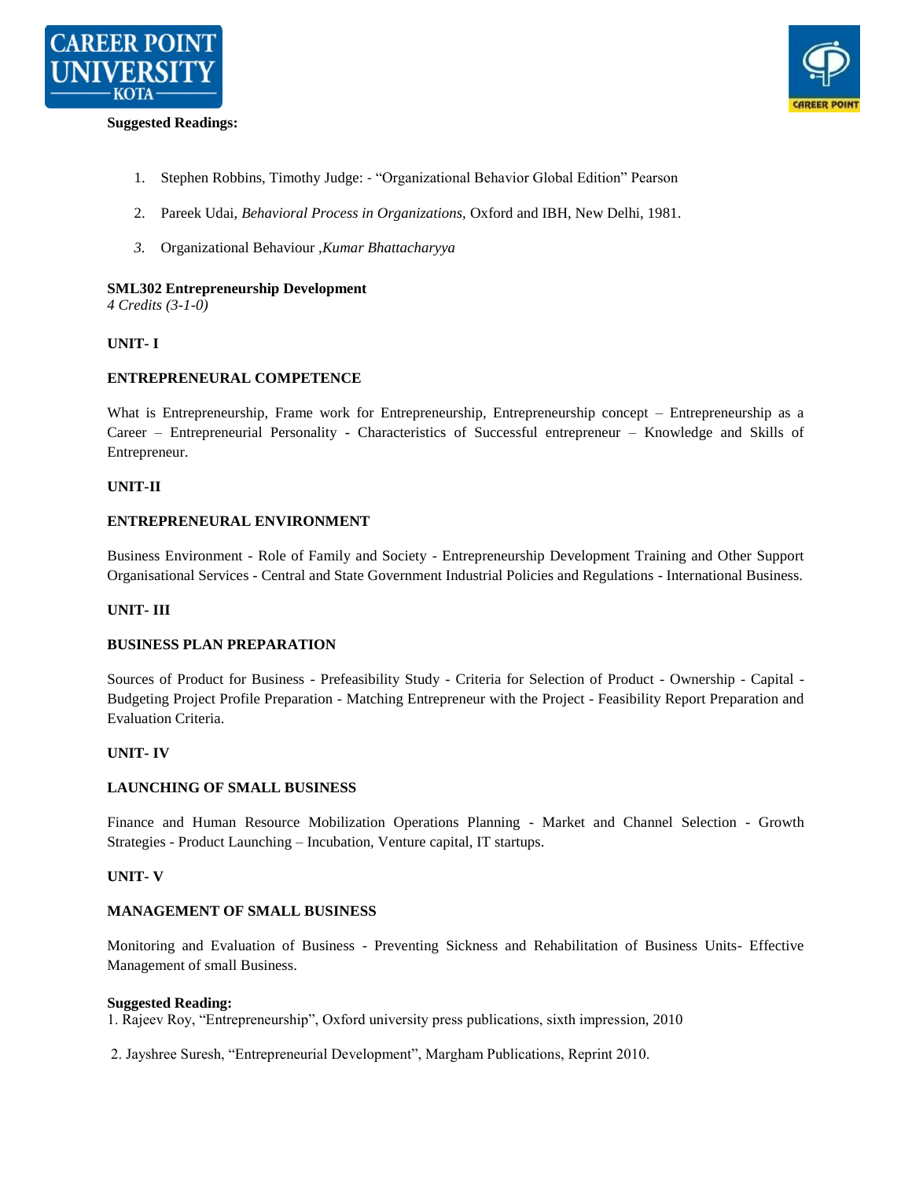

#### **Suggested Readings:**



- 1. Stephen Robbins, Timothy Judge: "Organizational Behavior Global Edition" Pearson
- 2. Pareek Udai, *Behavioral Process in Organizations,* Oxford and IBH, New Delhi, 1981.
- *3.* Organizational Behaviour ,*Kumar Bhattacharyya*

#### **SML302 Entrepreneurship Development**

*4 Credits (3-1-0)*

#### **UNIT- I**

#### **ENTREPRENEURAL COMPETENCE**

What is Entrepreneurship, Frame work for Entrepreneurship, Entrepreneurship concept – Entrepreneurship as a Career – Entrepreneurial Personality - Characteristics of Successful entrepreneur – Knowledge and Skills of Entrepreneur.

#### **UNIT-II**

#### **ENTREPRENEURAL ENVIRONMENT**

Business Environment - Role of Family and Society - Entrepreneurship Development Training and Other Support Organisational Services - Central and State Government Industrial Policies and Regulations - International Business.

#### **UNIT- III**

#### **BUSINESS PLAN PREPARATION**

Sources of Product for Business - Prefeasibility Study - Criteria for Selection of Product - Ownership - Capital - Budgeting Project Profile Preparation - Matching Entrepreneur with the Project - Feasibility Report Preparation and Evaluation Criteria.

#### **UNIT- IV**

#### **LAUNCHING OF SMALL BUSINESS**

Finance and Human Resource Mobilization Operations Planning - Market and Channel Selection - Growth Strategies - Product Launching – Incubation, Venture capital, IT startups.

#### **UNIT- V**

#### **MANAGEMENT OF SMALL BUSINESS**

Monitoring and Evaluation of Business - Preventing Sickness and Rehabilitation of Business Units- Effective Management of small Business.

#### **Suggested Reading:**

1. Rajeev Roy, "Entrepreneurship", Oxford university press publications, sixth impression, 2010

2. Jayshree Suresh, "Entrepreneurial Development", Margham Publications, Reprint 2010.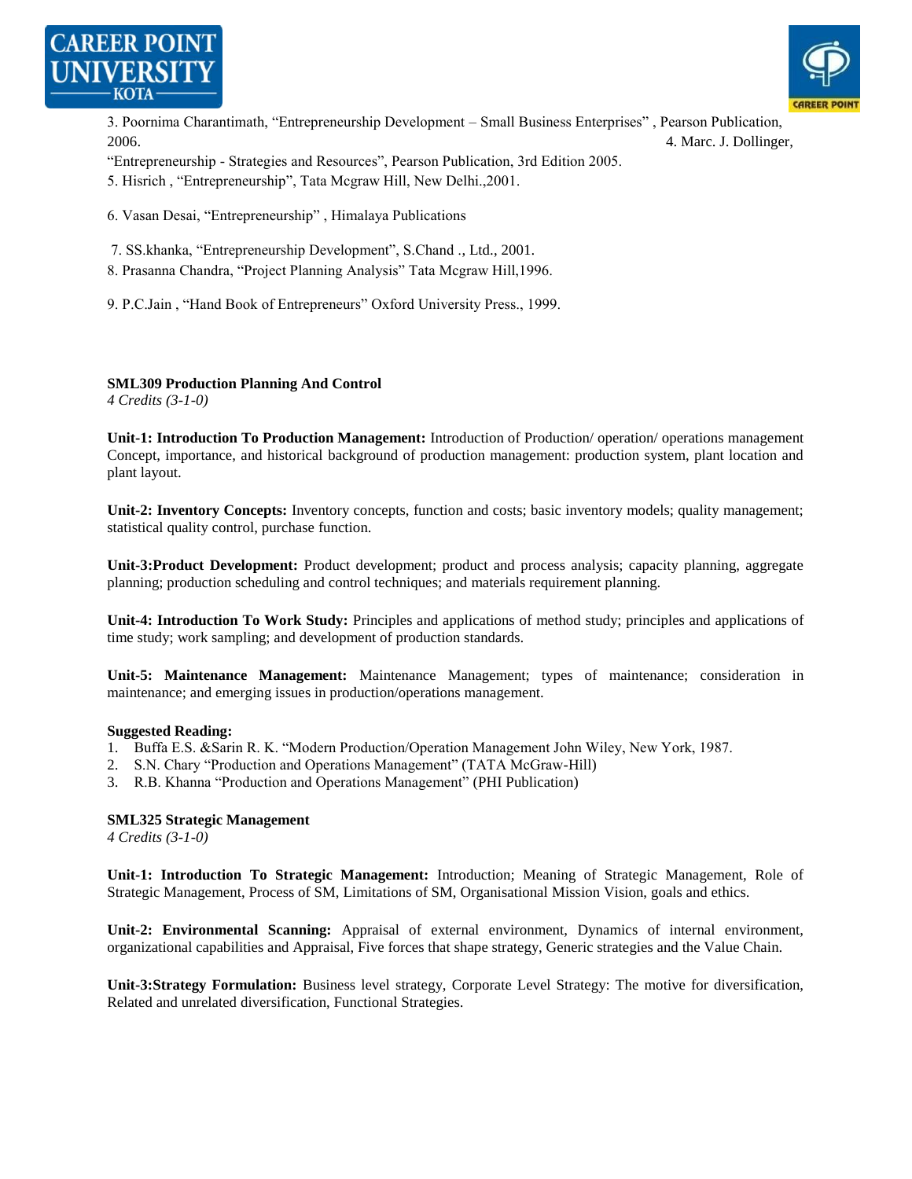



3. Poornima Charantimath, "Entrepreneurship Development – Small Business Enterprises", Pearson Publication, 2006. 4. Marc. J. Dollinger,

―Entrepreneurship - Strategies and Resources‖, Pearson Publication, 3rd Edition 2005.

5. Hisrich, "Entrepreneurship", Tata Mcgraw Hill, New Delhi., 2001.

6. Vasan Desai, "Entrepreneurship", Himalaya Publications

7. SS.khanka, "Entrepreneurship Development", S.Chand ., Ltd., 2001.

8. Prasanna Chandra, "Project Planning Analysis" Tata Mcgraw Hill, 1996.

9. P.C.Jain, "Hand Book of Entrepreneurs" Oxford University Press., 1999.

#### **SML309 Production Planning And Control**

*4 Credits (3-1-0)*

**Unit-1: Introduction To Production Management:** Introduction of Production/ operation/ operations management Concept, importance, and historical background of production management: production system, plant location and plant layout.

**Unit-2: Inventory Concepts:** Inventory concepts, function and costs; basic inventory models; quality management; statistical quality control, purchase function.

**Unit-3:Product Development:** Product development; product and process analysis; capacity planning, aggregate planning; production scheduling and control techniques; and materials requirement planning.

**Unit-4: Introduction To Work Study:** Principles and applications of method study; principles and applications of time study; work sampling; and development of production standards.

**Unit-5: Maintenance Management:** Maintenance Management; types of maintenance; consideration in maintenance; and emerging issues in production/operations management.

#### **Suggested Reading:**

- 1. Buffa E.S. & Sarin R. K. "Modern Production/Operation Management John Wiley, New York, 1987.
- 2. S.N. Chary "Production and Operations Management" (TATA McGraw-Hill)
- 3. R.B. Khanna "Production and Operations Management" (PHI Publication)

#### **SML325 Strategic Management**

*4 Credits (3-1-0)*

**Unit-1: Introduction To Strategic Management:** Introduction; Meaning of Strategic Management, Role of Strategic Management, Process of SM, Limitations of SM, Organisational Mission Vision, goals and ethics.

**Unit-2: Environmental Scanning:** Appraisal of external environment, Dynamics of internal environment, organizational capabilities and Appraisal, Five forces that shape strategy, Generic strategies and the Value Chain.

**Unit-3:Strategy Formulation:** Business level strategy, Corporate Level Strategy: The motive for diversification, Related and unrelated diversification, Functional Strategies.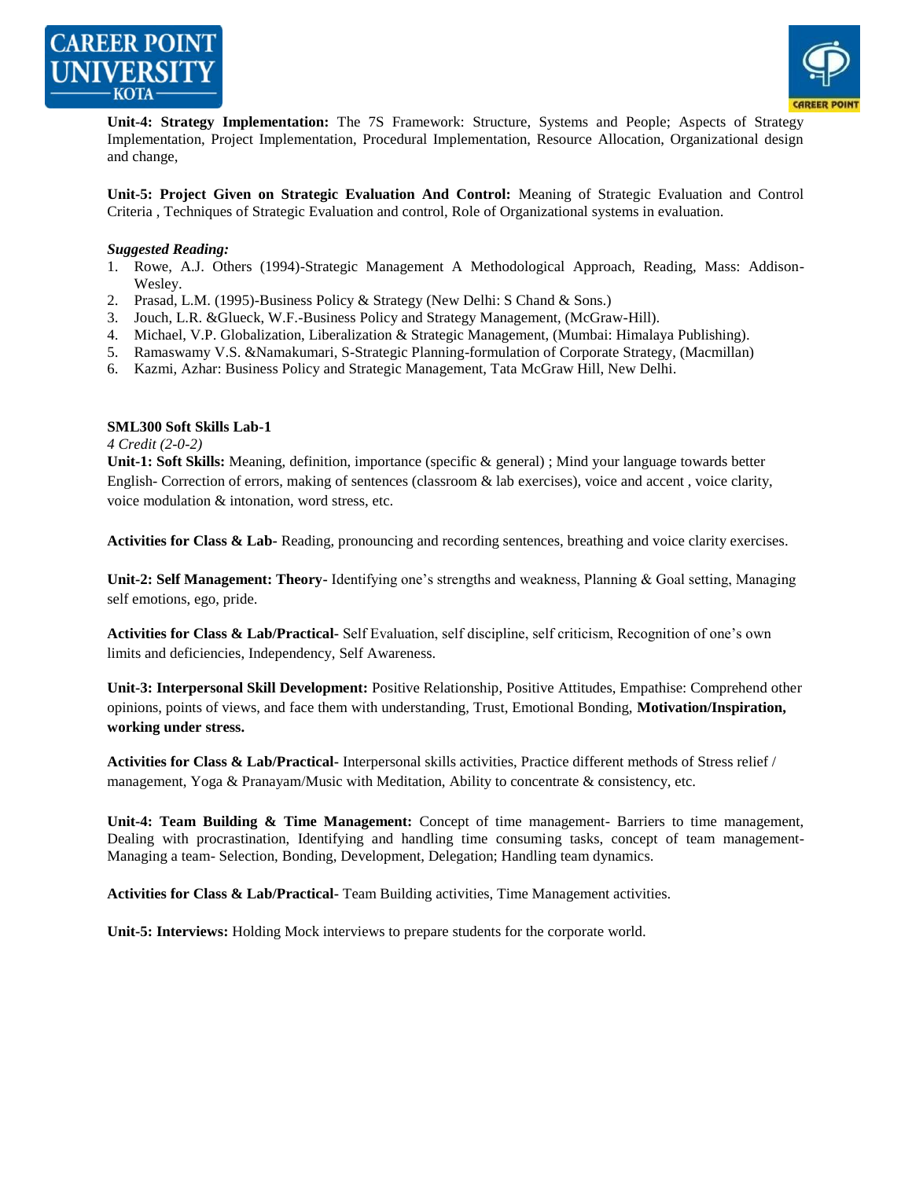



**Unit-4: Strategy Implementation:** The 7S Framework: Structure, Systems and People; Aspects of Strategy Implementation, Project Implementation, Procedural Implementation, Resource Allocation, Organizational design and change,

**Unit-5: Project Given on Strategic Evaluation And Control:** Meaning of Strategic Evaluation and Control Criteria , Techniques of Strategic Evaluation and control, Role of Organizational systems in evaluation.

#### *Suggested Reading:*

- 1. Rowe, A.J. Others (1994)-Strategic Management A Methodological Approach, Reading, Mass: Addison-Wesley.
- 2. Prasad, L.M. (1995)-Business Policy & Strategy (New Delhi: S Chand & Sons.)
- 3. Jouch, L.R. &Glueck, W.F.-Business Policy and Strategy Management, (McGraw-Hill).
- 4. Michael, V.P. Globalization, Liberalization & Strategic Management, (Mumbai: Himalaya Publishing).
- 5. Ramaswamy V.S. &Namakumari, S-Strategic Planning-formulation of Corporate Strategy, (Macmillan)
- 6. Kazmi, Azhar: Business Policy and Strategic Management, Tata McGraw Hill, New Delhi.

#### **SML300 Soft Skills Lab-1**

*4 Credit (2-0-2)*

**Unit-1: Soft Skills:** Meaning, definition, importance (specific & general) ; Mind your language towards better English- Correction of errors, making of sentences (classroom & lab exercises), voice and accent , voice clarity, voice modulation & intonation, word stress, etc.

Activities for Class & Lab- Reading, pronouncing and recording sentences, breathing and voice clarity exercises.

**Unit-2: Self Management: Theory-** Identifying one's strengths and weakness, Planning & Goal setting, Managing self emotions, ego, pride.

**Activities for Class & Lab/Practical-** Self Evaluation, self discipline, self criticism, Recognition of one's own limits and deficiencies, Independency, Self Awareness.

**Unit-3: Interpersonal Skill Development:** Positive Relationship, Positive Attitudes, Empathise: Comprehend other opinions, points of views, and face them with understanding, Trust, Emotional Bonding, **Motivation/Inspiration, working under stress.**

**Activities for Class & Lab/Practical-** Interpersonal skills activities, Practice different methods of Stress relief / management, Yoga & Pranayam/Music with Meditation, Ability to concentrate & consistency, etc.

**Unit-4: Team Building & Time Management:** Concept of time management- Barriers to time management, Dealing with procrastination, Identifying and handling time consuming tasks, concept of team management-Managing a team- Selection, Bonding, Development, Delegation; Handling team dynamics.

**Activities for Class & Lab/Practical-** Team Building activities, Time Management activities.

**Unit-5: Interviews:** Holding Mock interviews to prepare students for the corporate world.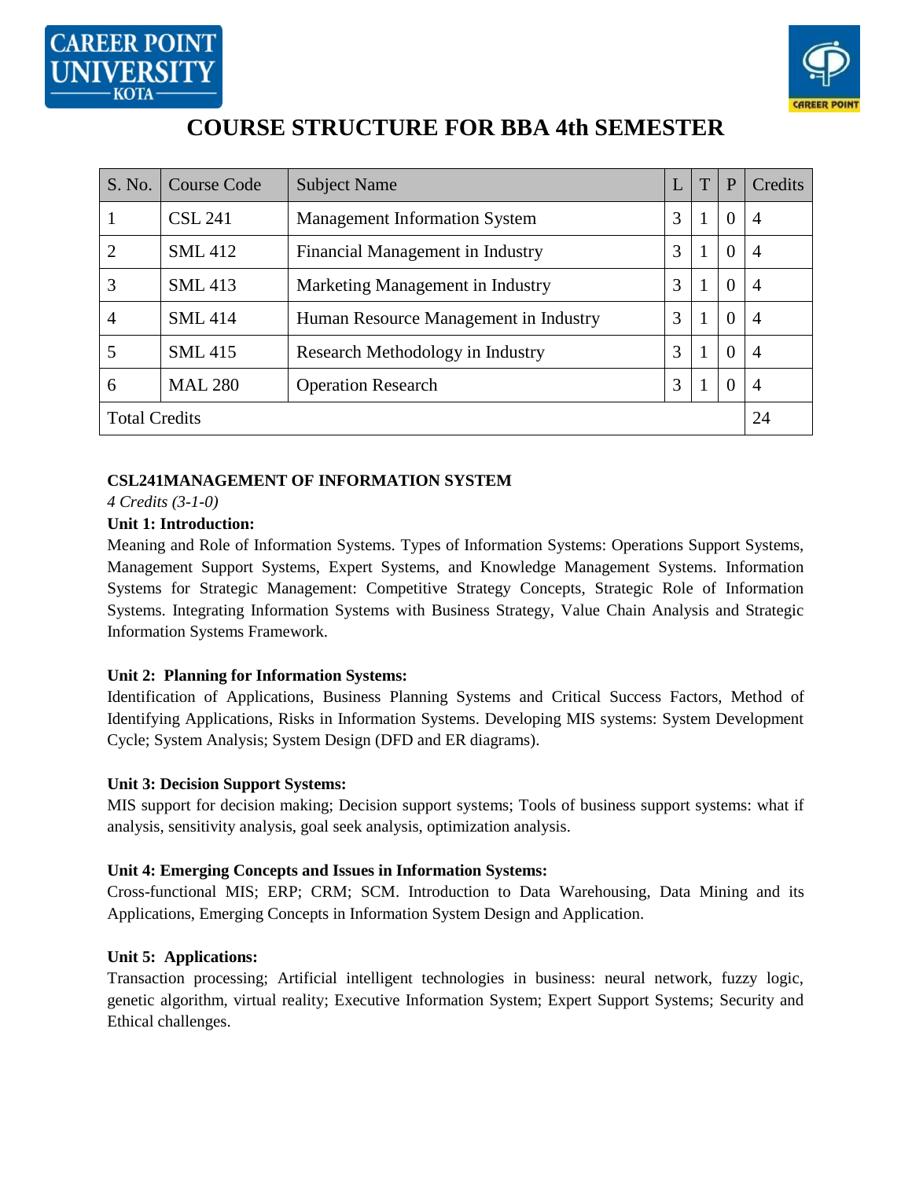



# **COURSE STRUCTURE FOR BBA 4th SEMESTER**

| S. No.               | <b>Course Code</b> | <b>Subject Name</b>                   |   | T | P              | Credits |
|----------------------|--------------------|---------------------------------------|---|---|----------------|---------|
| -1                   | <b>CSL 241</b>     | <b>Management Information System</b>  | 3 | 1 | $\overline{0}$ | 4       |
| $\overline{2}$       | <b>SML</b> 412     | Financial Management in Industry      | 3 | 1 | $\theta$       | 4       |
| 3                    | <b>SML</b> 413     | Marketing Management in Industry      | 3 | 1 | $\theta$       | 4       |
| 4                    | <b>SML</b> 414     | Human Resource Management in Industry | 3 |   | $\overline{0}$ | 4       |
| 5                    | <b>SML</b> 415     | Research Methodology in Industry      | 3 |   | $\overline{0}$ | 4       |
| 6                    | <b>MAL 280</b>     | <b>Operation Research</b>             | 3 |   | $\overline{0}$ | 4       |
| <b>Total Credits</b> |                    |                                       |   |   |                | 24      |

## **CSL241MANAGEMENT OF INFORMATION SYSTEM**

*4 Credits (3-1-0)*

## **Unit 1: Introduction:**

Meaning and Role of Information Systems. Types of Information Systems: Operations Support Systems, Management Support Systems, Expert Systems, and Knowledge Management Systems. Information Systems for Strategic Management: Competitive Strategy Concepts, Strategic Role of Information Systems. Integrating Information Systems with Business Strategy, Value Chain Analysis and Strategic Information Systems Framework.

## **Unit 2: Planning for Information Systems:**

Identification of Applications, Business Planning Systems and Critical Success Factors, Method of Identifying Applications, Risks in Information Systems. Developing MIS systems: System Development Cycle; System Analysis; System Design (DFD and ER diagrams).

#### **Unit 3: Decision Support Systems:**

MIS support for decision making; Decision support systems; Tools of business support systems: what if analysis, sensitivity analysis, goal seek analysis, optimization analysis.

#### **Unit 4: Emerging Concepts and Issues in Information Systems:**

Cross-functional MIS; ERP; CRM; SCM. Introduction to Data Warehousing, Data Mining and its Applications, Emerging Concepts in Information System Design and Application.

#### **Unit 5: Applications:**

Transaction processing; Artificial intelligent technologies in business: neural network, fuzzy logic, genetic algorithm, virtual reality; Executive Information System; Expert Support Systems; Security and Ethical challenges.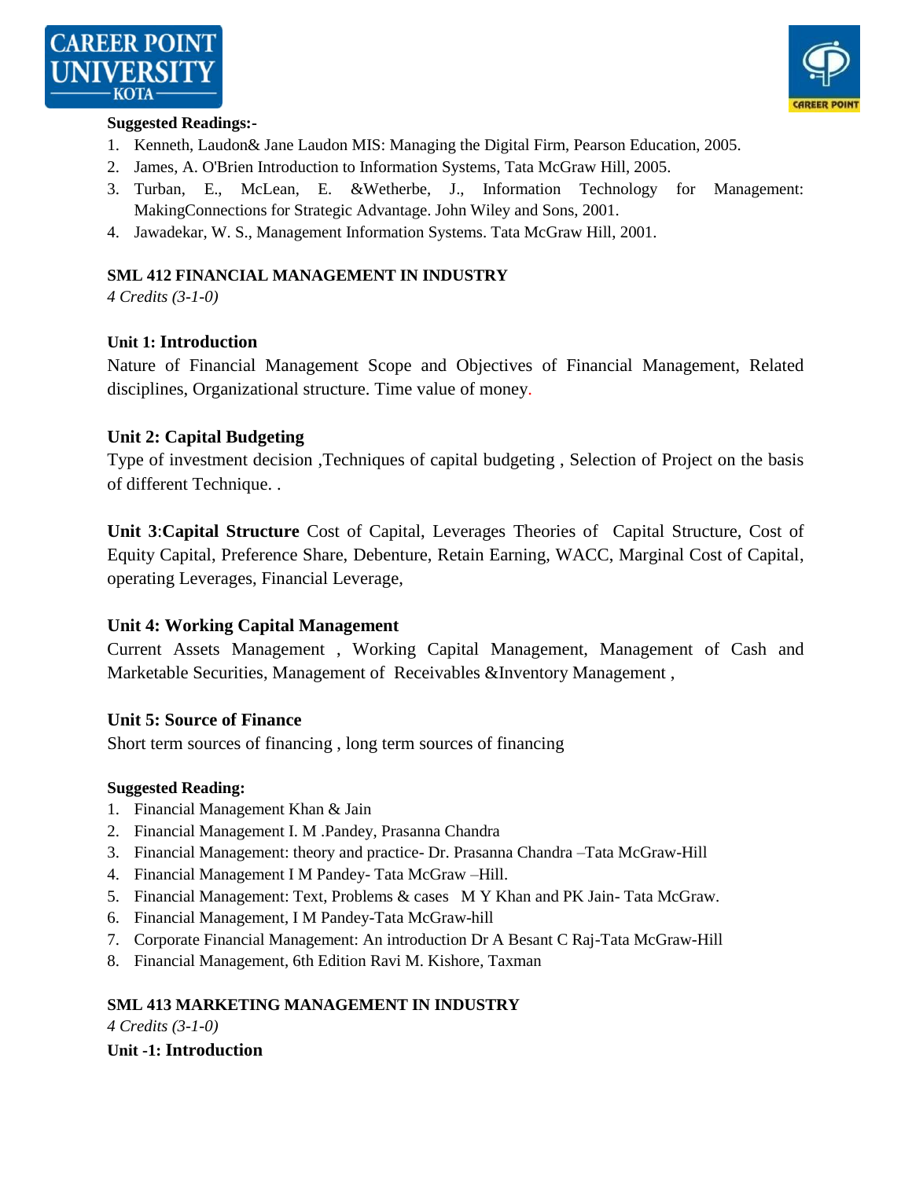



#### **Suggested Readings:-**

- 1. Kenneth, Laudon& Jane Laudon MIS: Managing the Digital Firm, Pearson Education, 2005.
- 2. James, A. O'Brien Introduction to Information Systems, Tata McGraw Hill, 2005.
- 3. Turban, E., McLean, E. &Wetherbe, J., Information Technology for Management: MakingConnections for Strategic Advantage. John Wiley and Sons, 2001.
- 4. Jawadekar, W. S., Management Information Systems. Tata McGraw Hill, 2001.

#### **SML 412 FINANCIAL MANAGEMENT IN INDUSTRY**

*4 Credits (3-1-0)*

#### **Unit 1: Introduction**

Nature of Financial Management Scope and Objectives of Financial Management, Related disciplines, Organizational structure. Time value of money.

#### **Unit 2: Capital Budgeting**

Type of investment decision ,Techniques of capital budgeting , Selection of Project on the basis of different Technique. .

**Unit 3**:**Capital Structure** Cost of Capital, Leverages Theories of Capital Structure, Cost of Equity Capital, Preference Share, Debenture, Retain Earning, WACC, Marginal Cost of Capital, operating Leverages, Financial Leverage,

## **Unit 4: Working Capital Management**

Current Assets Management , Working Capital Management, Management of Cash and Marketable Securities, Management of Receivables &Inventory Management ,

#### **Unit 5: Source of Finance**

Short term sources of financing , long term sources of financing

#### **Suggested Reading:**

- 1. Financial Management Khan & Jain
- 2. Financial Management I. M .Pandey, Prasanna Chandra
- 3. Financial Management: theory and practice- Dr. Prasanna Chandra –Tata McGraw-Hill
- 4. Financial Management I M Pandey- Tata McGraw –Hill.
- 5. Financial Management: Text, Problems & cases M Y Khan and PK Jain- Tata McGraw.
- 6. Financial Management, I M Pandey-Tata McGraw-hill
- 7. Corporate Financial Management: An introduction Dr A Besant C Raj-Tata McGraw-Hill
- 8. Financial Management, 6th Edition Ravi M. Kishore, Taxman

#### **SML 413 MARKETING MANAGEMENT IN INDUSTRY**

*4 Credits (3-1-0)*

#### **Unit -1: Introduction**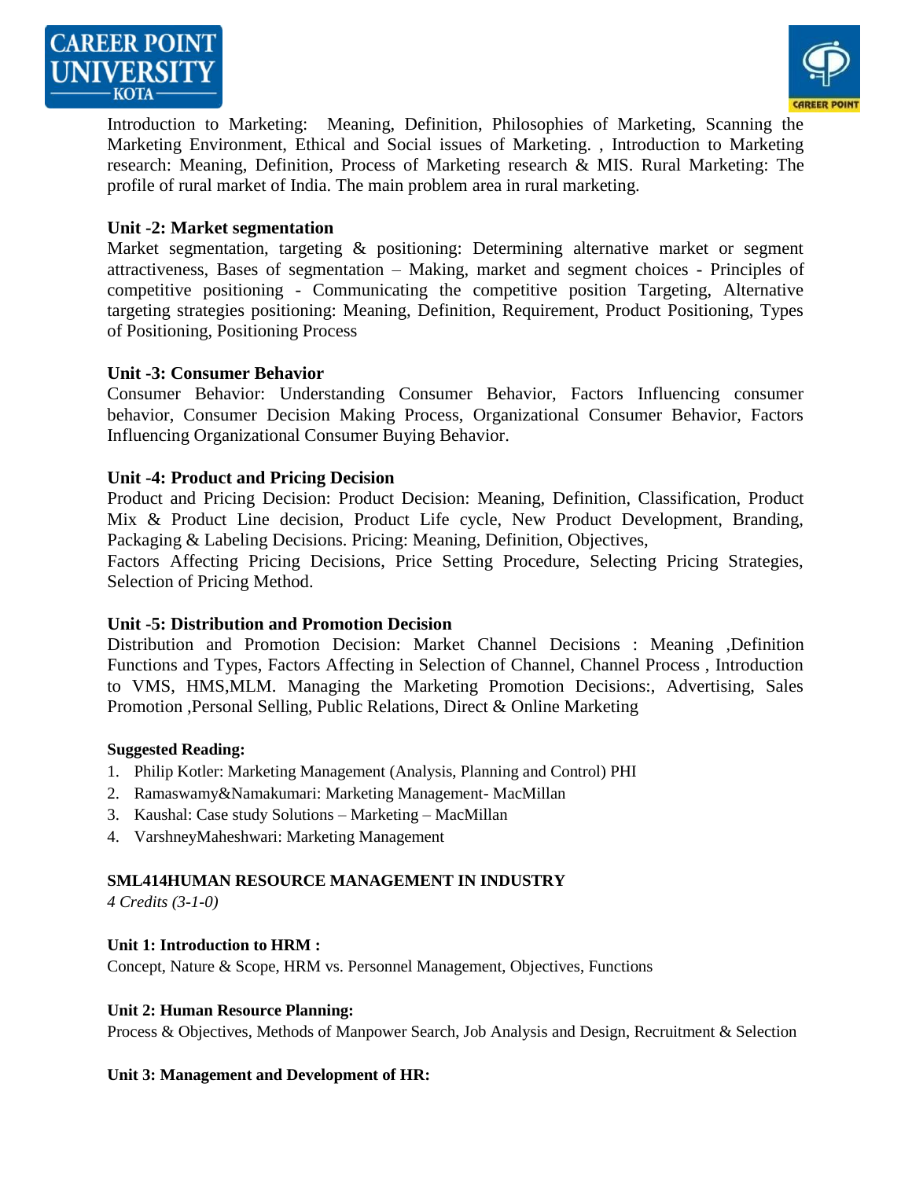



Introduction to Marketing: Meaning, Definition, Philosophies of Marketing, Scanning the Marketing Environment, Ethical and Social issues of Marketing. , Introduction to Marketing research: Meaning, Definition, Process of Marketing research & MIS. Rural Marketing: The profile of rural market of India. The main problem area in rural marketing.

#### **Unit -2: Market segmentation**

Market segmentation, targeting & positioning: Determining alternative market or segment attractiveness, Bases of segmentation – Making, market and segment choices - Principles of competitive positioning - Communicating the competitive position Targeting, Alternative targeting strategies positioning: Meaning, Definition, Requirement, Product Positioning, Types of Positioning, Positioning Process

#### **Unit -3: Consumer Behavior**

Consumer Behavior: Understanding Consumer Behavior, Factors Influencing consumer behavior, Consumer Decision Making Process, Organizational Consumer Behavior, Factors Influencing Organizational Consumer Buying Behavior.

#### **Unit -4: Product and Pricing Decision**

Product and Pricing Decision: Product Decision: Meaning, Definition, Classification, Product Mix & Product Line decision, Product Life cycle, New Product Development, Branding, Packaging & Labeling Decisions. Pricing: Meaning, Definition, Objectives, Factors Affecting Pricing Decisions, Price Setting Procedure, Selecting Pricing Strategies,

Selection of Pricing Method.

#### **Unit -5: Distribution and Promotion Decision**

Distribution and Promotion Decision: Market Channel Decisions : Meaning ,Definition Functions and Types, Factors Affecting in Selection of Channel, Channel Process , Introduction to VMS, HMS,MLM. Managing the Marketing Promotion Decisions:, Advertising, Sales Promotion ,Personal Selling, Public Relations, Direct & Online Marketing

#### **Suggested Reading:**

- 1. Philip Kotler: Marketing Management (Analysis, Planning and Control) PHI
- 2. Ramaswamy&Namakumari: Marketing Management- MacMillan
- 3. Kaushal: Case study Solutions Marketing MacMillan
- 4. VarshneyMaheshwari: Marketing Management

#### **SML414HUMAN RESOURCE MANAGEMENT IN INDUSTRY**

*4 Credits (3-1-0)*

#### **Unit 1: Introduction to HRM :**

Concept, Nature & Scope, HRM vs. Personnel Management, Objectives, Functions

#### **Unit 2: Human Resource Planning:**

Process & Objectives, Methods of Manpower Search, Job Analysis and Design, Recruitment & Selection

#### **Unit 3: Management and Development of HR:**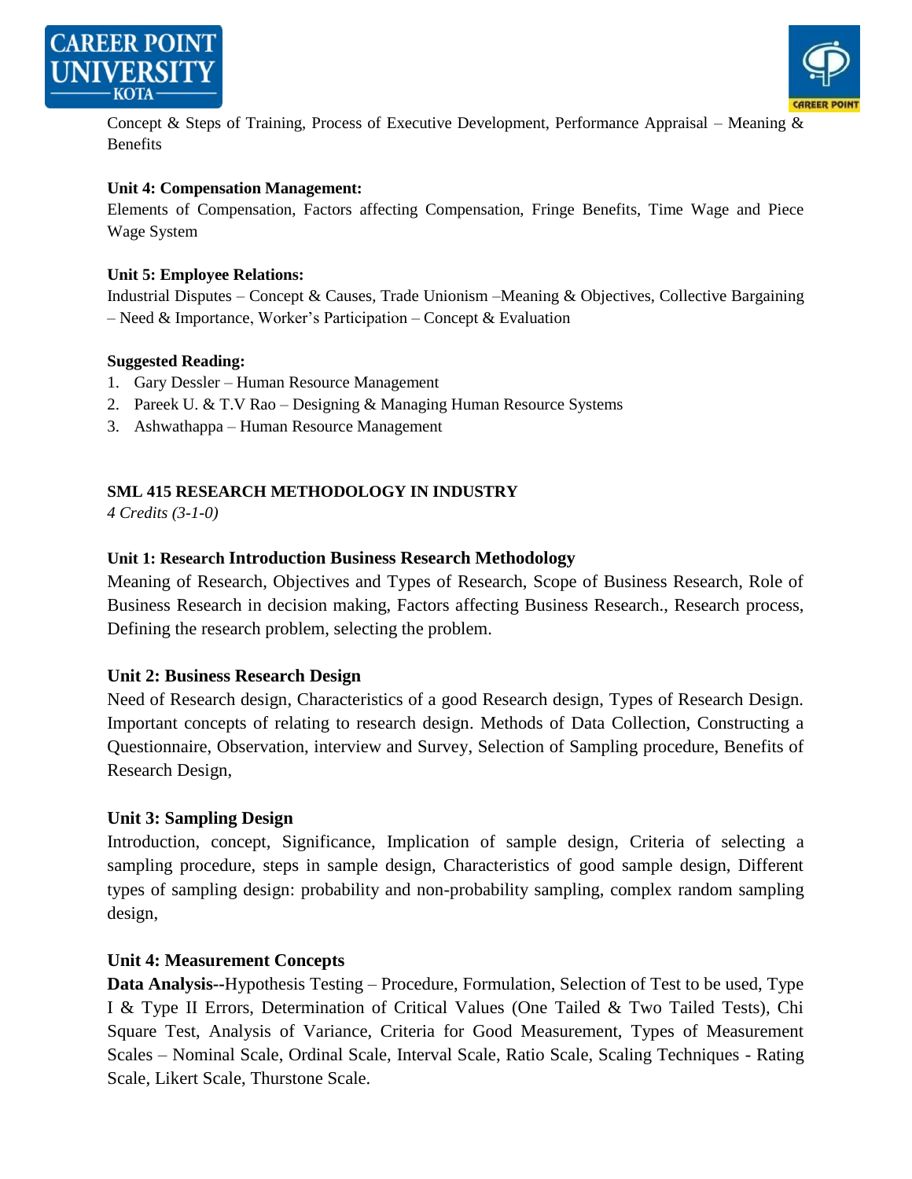



Concept & Steps of Training, Process of Executive Development, Performance Appraisal – Meaning & Benefits

#### **Unit 4: Compensation Management:**

Elements of Compensation, Factors affecting Compensation, Fringe Benefits, Time Wage and Piece Wage System

#### **Unit 5: Employee Relations:**

Industrial Disputes – Concept & Causes, Trade Unionism –Meaning & Objectives, Collective Bargaining – Need & Importance, Worker's Participation – Concept & Evaluation

#### **Suggested Reading:**

- 1. Gary Dessler Human Resource Management
- 2. Pareek U. & T.V Rao Designing & Managing Human Resource Systems
- 3. Ashwathappa Human Resource Management

# **SML 415 RESEARCH METHODOLOGY IN INDUSTRY**

*4 Credits (3-1-0)*

## **Unit 1: Research Introduction Business Research Methodology**

Meaning of Research, Objectives and Types of Research, Scope of Business Research, Role of Business Research in decision making, Factors affecting Business Research., Research process, Defining the research problem, selecting the problem.

## **Unit 2: Business Research Design**

Need of Research design, Characteristics of a good Research design, Types of Research Design. Important concepts of relating to research design. Methods of Data Collection, Constructing a Questionnaire, Observation, interview and Survey, Selection of Sampling procedure, Benefits of Research Design,

## **Unit 3: Sampling Design**

Introduction, concept, Significance, Implication of sample design, Criteria of selecting a sampling procedure, steps in sample design, Characteristics of good sample design, Different types of sampling design: probability and non-probability sampling, complex random sampling design,

## **Unit 4: Measurement Concepts**

**Data Analysis--**Hypothesis Testing – Procedure, Formulation, Selection of Test to be used, Type I & Type II Errors, Determination of Critical Values (One Tailed & Two Tailed Tests), Chi Square Test, Analysis of Variance, Criteria for Good Measurement, Types of Measurement Scales – Nominal Scale, Ordinal Scale, Interval Scale, Ratio Scale, Scaling Techniques - Rating Scale, Likert Scale, Thurstone Scale.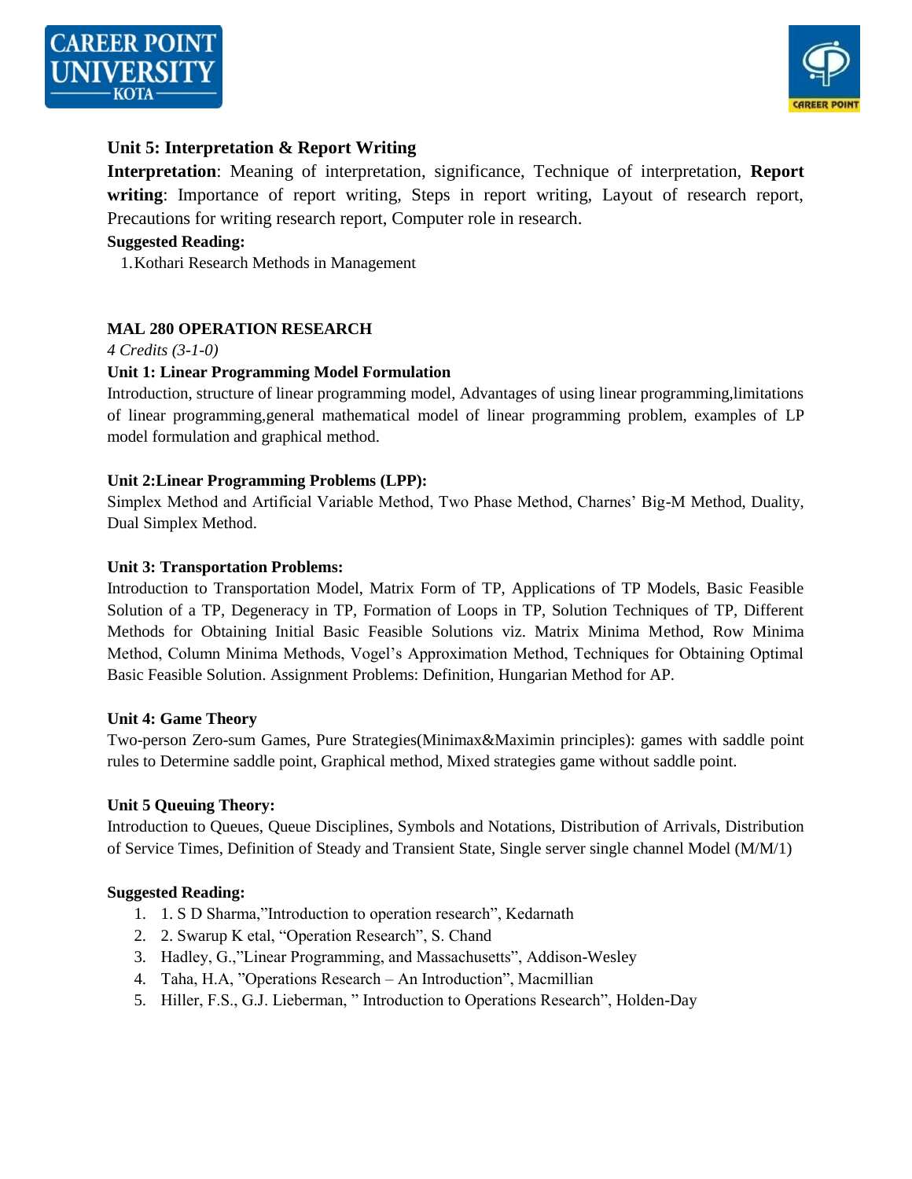



# **Unit 5: Interpretation & Report Writing**

**Interpretation**: Meaning of interpretation, significance, Technique of interpretation, **Report writing**: Importance of report writing, Steps in report writing, Layout of research report, Precautions for writing research report, Computer role in research.

#### **Suggested Reading:**

1.Kothari Research Methods in Management

#### **MAL 280 OPERATION RESEARCH**

#### *4 Credits (3-1-0)*

#### **Unit 1: Linear Programming Model Formulation**

Introduction, structure of linear programming model, Advantages of using linear programming,limitations of linear programming,general mathematical model of linear programming problem, examples of LP model formulation and graphical method.

#### **Unit 2:Linear Programming Problems (LPP):**

Simplex Method and Artificial Variable Method, Two Phase Method, Charnes' Big-M Method, Duality, Dual Simplex Method.

#### **Unit 3: Transportation Problems:**

Introduction to Transportation Model, Matrix Form of TP, Applications of TP Models, Basic Feasible Solution of a TP, Degeneracy in TP, Formation of Loops in TP, Solution Techniques of TP, Different Methods for Obtaining Initial Basic Feasible Solutions viz. Matrix Minima Method, Row Minima Method, Column Minima Methods, Vogel's Approximation Method, Techniques for Obtaining Optimal Basic Feasible Solution. Assignment Problems: Definition, Hungarian Method for AP.

#### **Unit 4: Game Theory**

Two-person Zero-sum Games, Pure Strategies(Minimax&Maximin principles): games with saddle point rules to Determine saddle point, Graphical method, Mixed strategies game without saddle point.

#### **Unit 5 Queuing Theory:**

Introduction to Queues, Queue Disciplines, Symbols and Notations, Distribution of Arrivals, Distribution of Service Times, Definition of Steady and Transient State, Single server single channel Model (M/M/1)

#### **Suggested Reading:**

- 1. 1. S D Sharma,"Introduction to operation research", Kedarnath
- 2. 2. Swarup K etal, "Operation Research", S. Chand
- 3. Hadley, G.,"Linear Programming, and Massachusetts", Addison-Wesley
- 4. Taha, H.A, "Operations Research An Introduction", Macmillian
- 5. Hiller, F.S., G.J. Lieberman, "Introduction to Operations Research", Holden-Day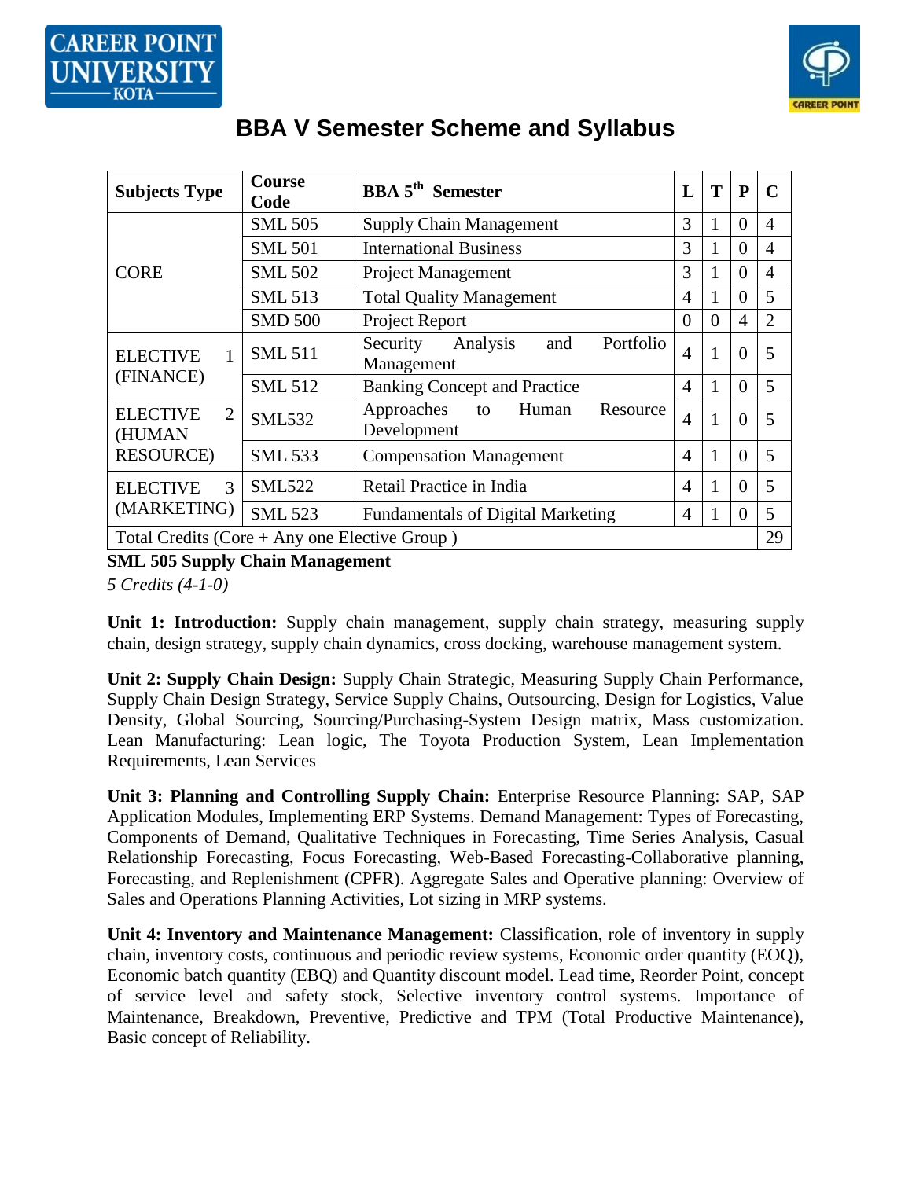

| <b>Course</b><br><b>BBA</b> 5 <sup>th</sup> Semester<br><b>Subjects Type</b><br>Code |                | L                                                      | T              | ${\bf P}$    | $\mathbf C$    |                |
|--------------------------------------------------------------------------------------|----------------|--------------------------------------------------------|----------------|--------------|----------------|----------------|
|                                                                                      | <b>SML 505</b> | <b>Supply Chain Management</b>                         | 3              | 1            | 0              | $\overline{4}$ |
|                                                                                      | <b>SML 501</b> | <b>International Business</b>                          | 3              | 1            | $\Omega$       | $\overline{4}$ |
| <b>CORE</b>                                                                          | <b>SML 502</b> | <b>Project Management</b>                              | 3              | 1            | $\Omega$       | $\overline{4}$ |
|                                                                                      | <b>SML 513</b> | <b>Total Quality Management</b>                        | $\overline{4}$ | 1            | $\overline{0}$ | 5              |
|                                                                                      | <b>SMD 500</b> | Project Report                                         | $\theta$       | $\theta$     | $\overline{4}$ | $\overline{2}$ |
| <b>ELECTIVE</b>                                                                      | <b>SML 511</b> | Portfolio<br>Analysis<br>Security<br>and<br>Management | $\overline{4}$ | $\mathbf{1}$ | $\theta$       | 5              |
| (FINANCE)                                                                            | <b>SML 512</b> | <b>Banking Concept and Practice</b>                    | 4              | 1            | $\Omega$       | 5              |
| <b>ELECTIVE</b><br>$\overline{2}$<br>(HUMAN                                          | <b>SML532</b>  | Approaches<br>Human<br>Resource<br>to<br>Development   | $\overline{4}$ | $\mathbf{1}$ | $\theta$       | 5              |
| <b>RESOURCE</b> )                                                                    | <b>SML 533</b> | <b>Compensation Management</b>                         | 4              | 1            | $\theta$       | 5              |
| $\mathcal{R}$<br><b>ELECTIVE</b>                                                     | <b>SML522</b>  | Retail Practice in India                               | $\overline{A}$ | $\mathbf{1}$ | $\Omega$       | 5              |
| (MARKETING)                                                                          | <b>SML 523</b> | <b>Fundamentals of Digital Marketing</b>               | 4              | 1            | $\Omega$       | 5              |
| 29<br>Total Credits (Core $+$ Any one Elective Group)                                |                |                                                        |                |              |                |                |

# **BBA V Semester Scheme and Syllabus**

**SML 505 Supply Chain Management**

*5 Credits (4-1-0)*

Unit 1: Introduction: Supply chain management, supply chain strategy, measuring supply chain, design strategy, supply chain dynamics, cross docking, warehouse management system.

**Unit 2: Supply Chain Design:** Supply Chain Strategic, Measuring Supply Chain Performance, Supply Chain Design Strategy, Service Supply Chains, Outsourcing, Design for Logistics, Value Density, Global Sourcing, Sourcing/Purchasing-System Design matrix, Mass customization. Lean Manufacturing: Lean logic, The Toyota Production System, Lean Implementation Requirements, Lean Services

**Unit 3: Planning and Controlling Supply Chain:** Enterprise Resource Planning: SAP, SAP Application Modules, Implementing ERP Systems. Demand Management: Types of Forecasting, Components of Demand, Qualitative Techniques in Forecasting, Time Series Analysis, Casual Relationship Forecasting, Focus Forecasting, Web-Based Forecasting-Collaborative planning, Forecasting, and Replenishment (CPFR). Aggregate Sales and Operative planning: Overview of Sales and Operations Planning Activities, Lot sizing in MRP systems.

**Unit 4: Inventory and Maintenance Management:** Classification, role of inventory in supply chain, inventory costs, continuous and periodic review systems, Economic order quantity (EOQ), Economic batch quantity (EBQ) and Quantity discount model. Lead time, Reorder Point, concept of service level and safety stock, Selective inventory control systems. Importance of Maintenance, Breakdown, Preventive, Predictive and TPM (Total Productive Maintenance), Basic concept of Reliability.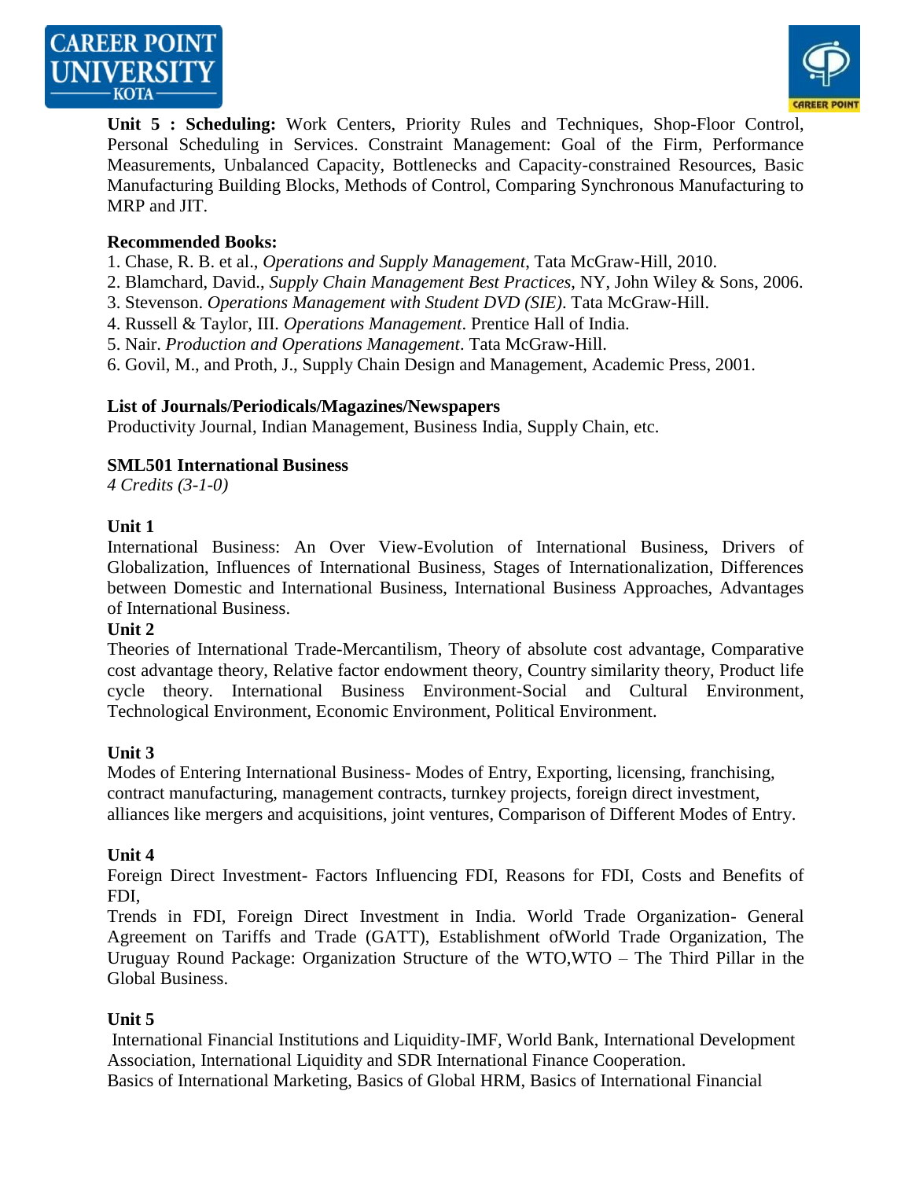



**Unit 5 : Scheduling:** Work Centers, Priority Rules and Techniques, Shop-Floor Control, Personal Scheduling in Services. Constraint Management: Goal of the Firm, Performance Measurements, Unbalanced Capacity, Bottlenecks and Capacity-constrained Resources, Basic Manufacturing Building Blocks, Methods of Control, Comparing Synchronous Manufacturing to MRP and JIT.

## **Recommended Books:**

- 1. Chase, R. B. et al., *Operations and Supply Management*, Tata McGraw-Hill, 2010.
- 2. Blamchard, David., *Supply Chain Management Best Practices*, NY, John Wiley & Sons, 2006.
- 3. Stevenson. *Operations Management with Student DVD (SIE)*. Tata McGraw-Hill.
- 4. Russell & Taylor, III. *Operations Management*. Prentice Hall of India.
- 5. Nair. *Production and Operations Management*. Tata McGraw-Hill.

6. Govil, M., and Proth, J., Supply Chain Design and Management, Academic Press, 2001.

#### **List of Journals/Periodicals/Magazines/Newspapers**

Productivity Journal, Indian Management, Business India, Supply Chain, etc.

#### **SML501 International Business**

*4 Credits (3-1-0)*

#### **Unit 1**

International Business: An Over View-Evolution of International Business, Drivers of Globalization, Influences of International Business, Stages of Internationalization, Differences between Domestic and International Business, International Business Approaches, Advantages of International Business.

#### **Unit 2**

Theories of International Trade-Mercantilism, Theory of absolute cost advantage, Comparative cost advantage theory, Relative factor endowment theory, Country similarity theory, Product life cycle theory. International Business Environment-Social and Cultural Environment, Technological Environment, Economic Environment, Political Environment.

#### **Unit 3**

Modes of Entering International Business- Modes of Entry, Exporting, licensing, franchising, contract manufacturing, management contracts, turnkey projects, foreign direct investment, alliances like mergers and acquisitions, joint ventures, Comparison of Different Modes of Entry.

#### **Unit 4**

Foreign Direct Investment- Factors Influencing FDI, Reasons for FDI, Costs and Benefits of FDI,

Trends in FDI, Foreign Direct Investment in India. World Trade Organization- General Agreement on Tariffs and Trade (GATT), Establishment ofWorld Trade Organization, The Uruguay Round Package: Organization Structure of the WTO,WTO – The Third Pillar in the Global Business.

## **Unit 5**

International Financial Institutions and Liquidity-IMF, World Bank, International Development Association, International Liquidity and SDR International Finance Cooperation. Basics of International Marketing, Basics of Global HRM, Basics of International Financial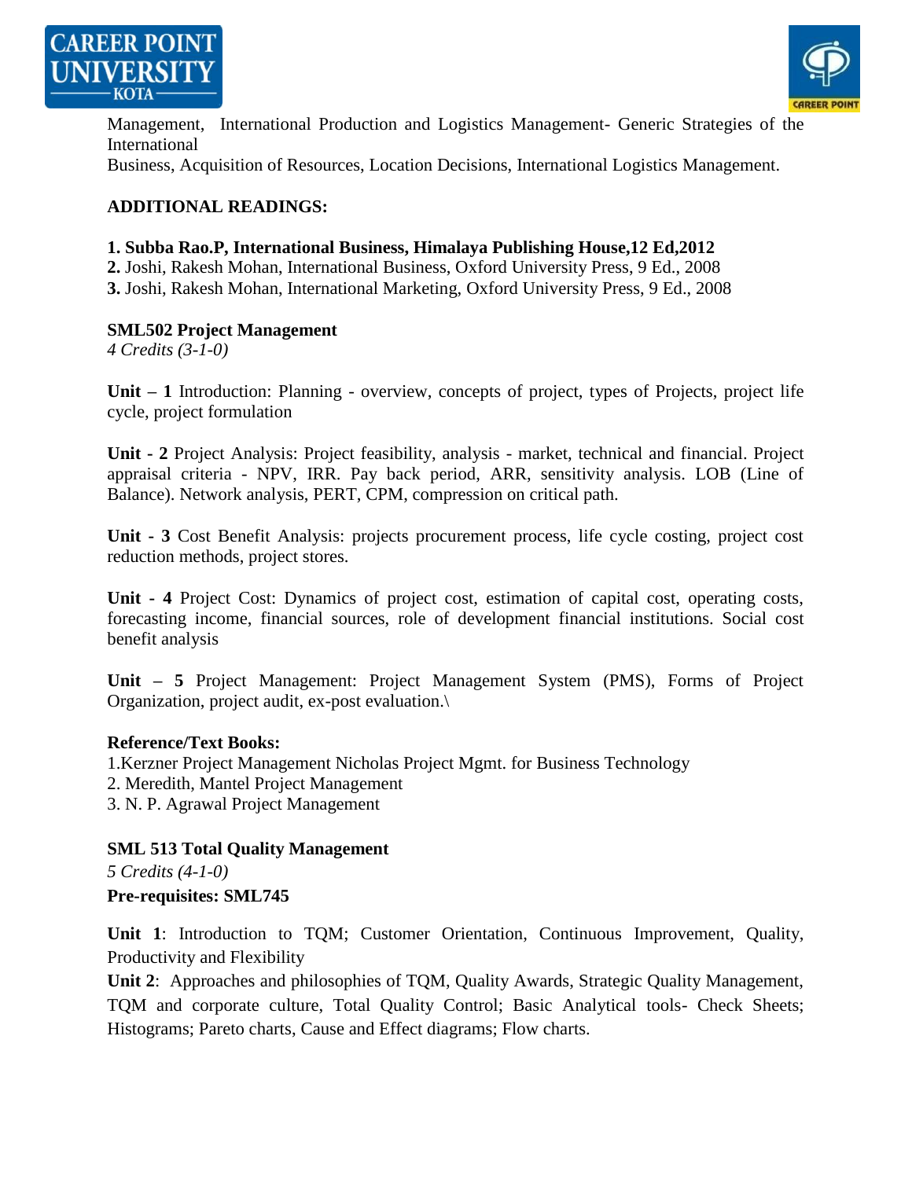



Management, International Production and Logistics Management- Generic Strategies of the International Business, Acquisition of Resources, Location Decisions, International Logistics Management.

## **ADDITIONAL READINGS:**

# **1. Subba Rao.P, International Business, Himalaya Publishing House,12 Ed,2012**

**2.** Joshi, Rakesh Mohan, International Business, Oxford University Press, 9 Ed., 2008

**3.** Joshi, Rakesh Mohan, International Marketing, Oxford University Press, 9 Ed., 2008

#### **SML502 Project Management**

*4 Credits (3-1-0)*

**Unit – 1** Introduction: Planning - overview, concepts of project, types of Projects, project life cycle, project formulation

**Unit - 2** Project Analysis: Project feasibility, analysis - market, technical and financial. Project appraisal criteria - NPV, IRR. Pay back period, ARR, sensitivity analysis. LOB (Line of Balance). Network analysis, PERT, CPM, compression on critical path.

**Unit - 3** Cost Benefit Analysis: projects procurement process, life cycle costing, project cost reduction methods, project stores.

**Unit - 4** Project Cost: Dynamics of project cost, estimation of capital cost, operating costs, forecasting income, financial sources, role of development financial institutions. Social cost benefit analysis

**Unit – 5** Project Management: Project Management System (PMS), Forms of Project Organization, project audit, ex-post evaluation.\

#### **Reference/Text Books:**

1.Kerzner Project Management Nicholas Project Mgmt. for Business Technology

- 2. Meredith, Mantel Project Management
- 3. N. P. Agrawal Project Management

## **SML 513 Total Quality Management**

*5 Credits (4-1-0)*

## **Pre-requisites: SML745**

**Unit 1**: Introduction to TQM; Customer Orientation, Continuous Improvement, Quality, Productivity and Flexibility

**Unit 2**: Approaches and philosophies of TQM, Quality Awards, Strategic Quality Management, TQM and corporate culture, Total Quality Control; Basic Analytical tools- Check Sheets; Histograms; Pareto charts, Cause and Effect diagrams; Flow charts.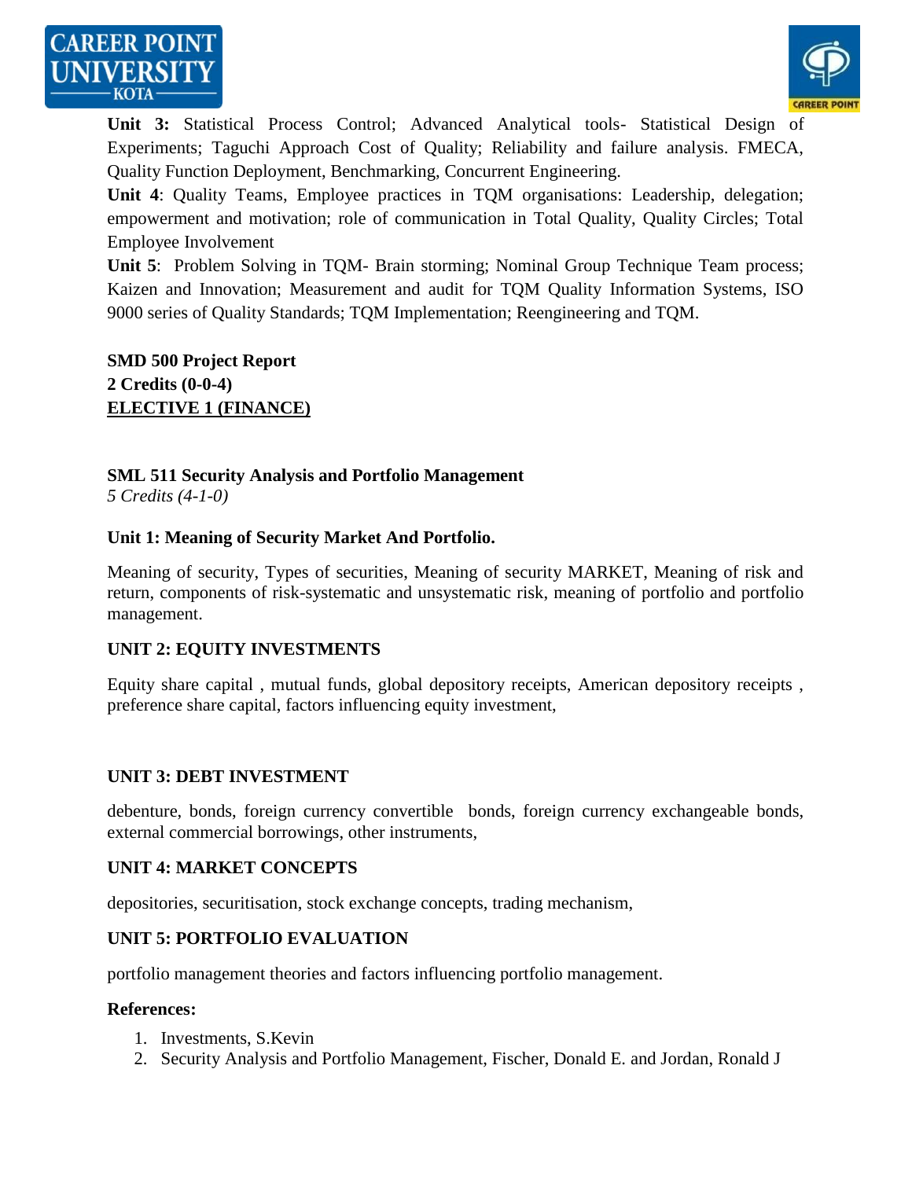



**Unit 3:** Statistical Process Control; Advanced Analytical tools- Statistical Design of Experiments; Taguchi Approach Cost of Quality; Reliability and failure analysis. FMECA, Quality Function Deployment, Benchmarking, Concurrent Engineering.

**Unit 4**: Quality Teams, Employee practices in TQM organisations: Leadership, delegation; empowerment and motivation; role of communication in Total Quality, Quality Circles; Total Employee Involvement

**Unit 5**: Problem Solving in TQM- Brain storming; Nominal Group Technique Team process; Kaizen and Innovation; Measurement and audit for TQM Quality Information Systems, ISO 9000 series of Quality Standards; TQM Implementation; Reengineering and TQM.

**SMD 500 Project Report 2 Credits (0-0-4) ELECTIVE 1 (FINANCE)**

# **SML 511 Security Analysis and Portfolio Management**

*5 Credits (4-1-0)*

## **Unit 1: Meaning of Security Market And Portfolio.**

Meaning of security, Types of securities, Meaning of security MARKET, Meaning of risk and return, components of risk-systematic and unsystematic risk, meaning of portfolio and portfolio management.

## **UNIT 2: EQUITY INVESTMENTS**

Equity share capital , mutual funds, global depository receipts, American depository receipts , preference share capital, factors influencing equity investment,

#### **UNIT 3: DEBT INVESTMENT**

debenture, bonds, foreign currency convertible bonds, foreign currency exchangeable bonds, external commercial borrowings, other instruments,

#### **UNIT 4: MARKET CONCEPTS**

depositories, securitisation, stock exchange concepts, trading mechanism,

#### **UNIT 5: PORTFOLIO EVALUATION**

portfolio management theories and factors influencing portfolio management.

#### **References:**

- 1. Investments, S.Kevin
- 2. Security Analysis and Portfolio Management, Fischer, Donald E. and Jordan, Ronald J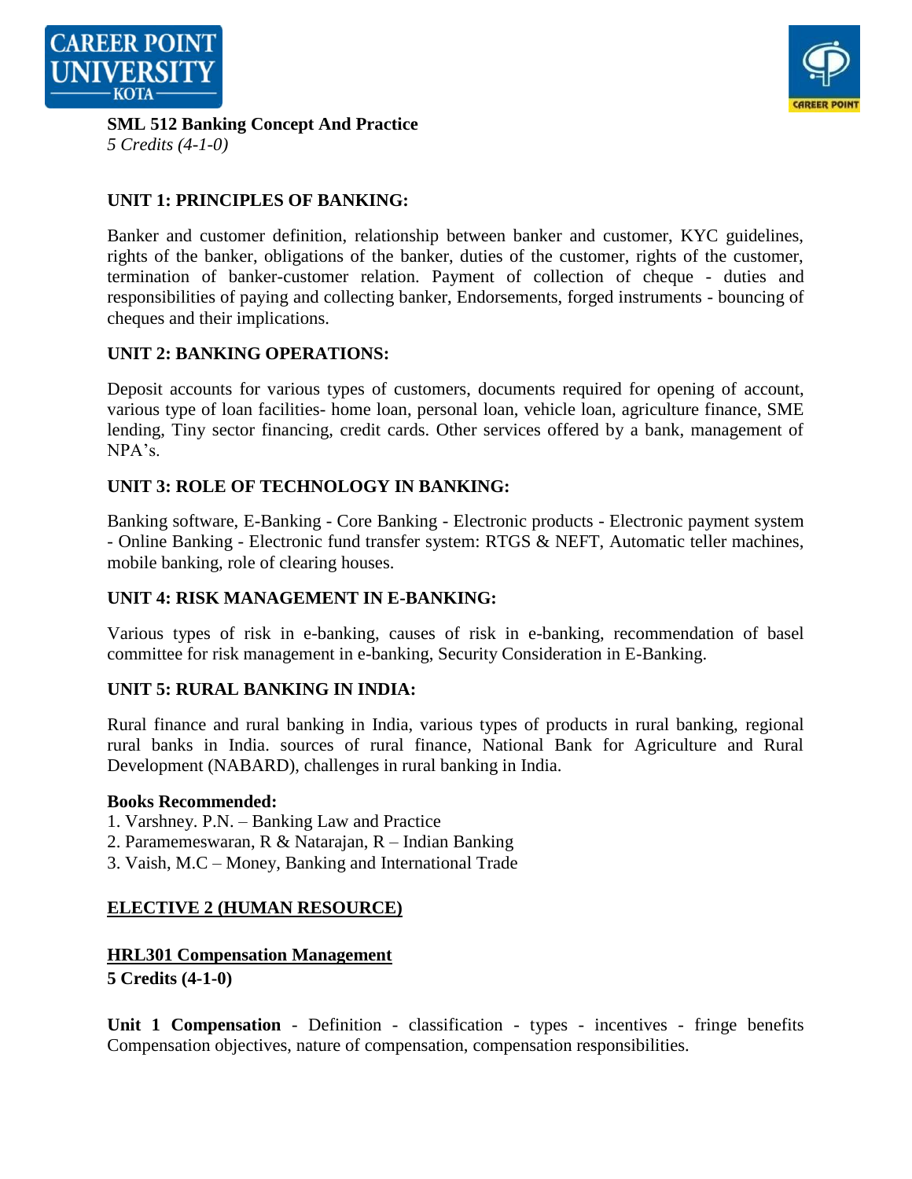



**SML 512 Banking Concept And Practice**

*5 Credits (4-1-0)*

# **UNIT 1: PRINCIPLES OF BANKING:**

Banker and customer definition, relationship between banker and customer, KYC guidelines, rights of the banker, obligations of the banker, duties of the customer, rights of the customer, termination of banker-customer relation. Payment of collection of cheque - duties and responsibilities of paying and collecting banker, Endorsements, forged instruments - bouncing of cheques and their implications.

# **UNIT 2: BANKING OPERATIONS:**

Deposit accounts for various types of customers, documents required for opening of account, various type of loan facilities- home loan, personal loan, vehicle loan, agriculture finance, SME lending, Tiny sector financing, credit cards. Other services offered by a bank, management of NPA's.

# **UNIT 3: ROLE OF TECHNOLOGY IN BANKING:**

Banking software, E-Banking - Core Banking - Electronic products - Electronic payment system - Online Banking - Electronic fund transfer system: RTGS & NEFT, Automatic teller machines, mobile banking, role of clearing houses.

# **UNIT 4: RISK MANAGEMENT IN E-BANKING:**

Various types of risk in e-banking, causes of risk in e-banking, recommendation of basel committee for risk management in e-banking, Security Consideration in E-Banking.

# **UNIT 5: RURAL BANKING IN INDIA:**

Rural finance and rural banking in India, various types of products in rural banking, regional rural banks in India. sources of rural finance, National Bank for Agriculture and Rural Development (NABARD), challenges in rural banking in India.

## **Books Recommended:**

- 1. Varshney. P.N. Banking Law and Practice
- 2. Paramemeswaran, R & Natarajan, R Indian Banking
- 3. Vaish, M.C Money, Banking and International Trade

# **ELECTIVE 2 (HUMAN RESOURCE)**

## **HRL301 Compensation Management**

**5 Credits (4-1-0)**

**Unit 1 Compensation** - Definition - classification - types - incentives - fringe benefits Compensation objectives, nature of compensation, compensation responsibilities.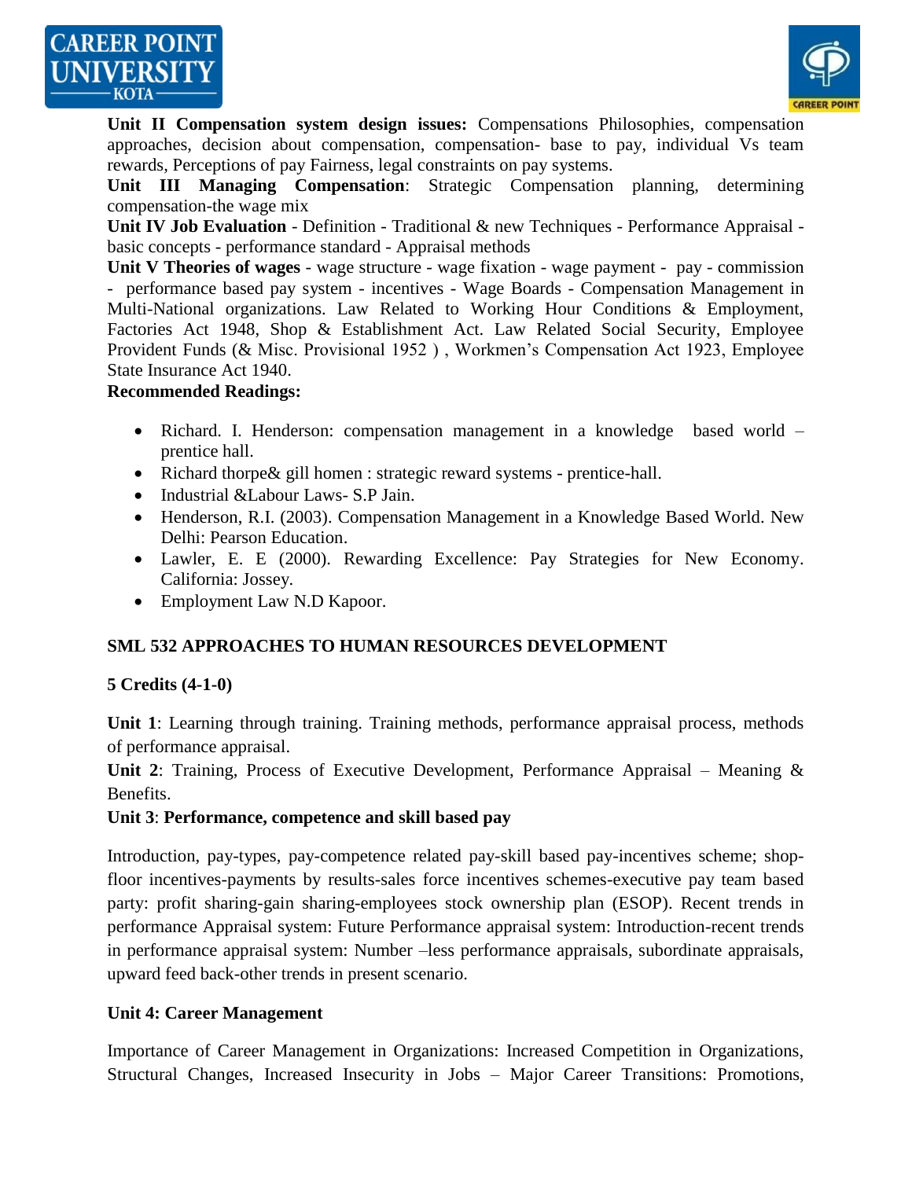



**Unit II Compensation system design issues:** Compensations Philosophies, compensation approaches, decision about compensation, compensation- base to pay, individual Vs team rewards, Perceptions of pay Fairness, legal constraints on pay systems.

**Unit III Managing Compensation**: Strategic Compensation planning, determining compensation-the wage mix

**Unit IV Job Evaluation** - Definition - Traditional & new Techniques - Performance Appraisal basic concepts - performance standard - Appraisal methods

**Unit V Theories of wages** - wage structure - wage fixation - wage payment - pay - commission - performance based pay system - incentives - Wage Boards - Compensation Management in Multi-National organizations. Law Related to Working Hour Conditions & Employment, Factories Act 1948, Shop & Establishment Act. Law Related Social Security, Employee Provident Funds (& Misc. Provisional 1952 ) , Workmen's Compensation Act 1923, Employee State Insurance Act 1940.

#### **Recommended Readings:**

- Richard. I. Henderson: compensation management in a knowledge based world prentice hall.
- Richard thorpe & gill homen : strategic reward systems prentice-hall.
- Industrial &Labour Laws- S.P Jain.
- Henderson, R.I. (2003). Compensation Management in a Knowledge Based World. New Delhi: Pearson Education.
- Lawler, E. E (2000). Rewarding Excellence: Pay Strategies for New Economy. California: Jossey.
- Employment Law N.D Kapoor.

# **SML 532 APPROACHES TO HUMAN RESOURCES DEVELOPMENT**

## **5 Credits (4-1-0)**

**Unit 1**: Learning through training. Training methods, performance appraisal process, methods of performance appraisal.

**Unit 2**: Training, Process of Executive Development, Performance Appraisal – Meaning & Benefits.

#### **Unit 3**: **Performance, competence and skill based pay**

Introduction, pay-types, pay-competence related pay-skill based pay-incentives scheme; shopfloor incentives-payments by results-sales force incentives schemes-executive pay team based party: profit sharing-gain sharing-employees stock ownership plan (ESOP). Recent trends in performance Appraisal system: Future Performance appraisal system: Introduction-recent trends in performance appraisal system: Number –less performance appraisals, subordinate appraisals, upward feed back-other trends in present scenario.

## **Unit 4: Career Management**

Importance of Career Management in Organizations: Increased Competition in Organizations, Structural Changes, Increased Insecurity in Jobs – Major Career Transitions: Promotions,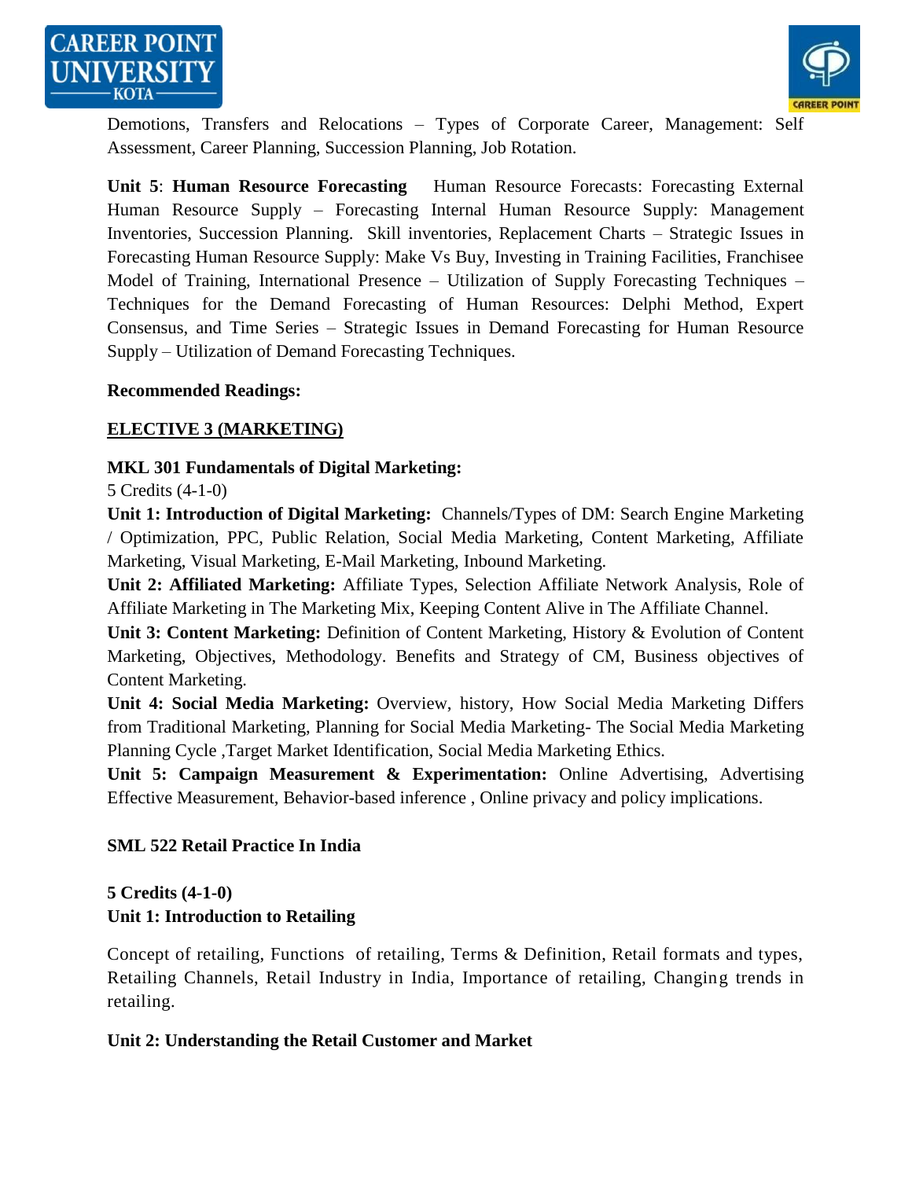



Demotions, Transfers and Relocations – Types of Corporate Career, Management: Self Assessment, Career Planning, Succession Planning, Job Rotation.

**Unit 5**: **Human Resource Forecasting** Human Resource Forecasts: Forecasting External Human Resource Supply – Forecasting Internal Human Resource Supply: Management Inventories, Succession Planning. Skill inventories, Replacement Charts – Strategic Issues in Forecasting Human Resource Supply: Make Vs Buy, Investing in Training Facilities, Franchisee Model of Training, International Presence – Utilization of Supply Forecasting Techniques – Techniques for the Demand Forecasting of Human Resources: Delphi Method, Expert Consensus, and Time Series – Strategic Issues in Demand Forecasting for Human Resource Supply – Utilization of Demand Forecasting Techniques.

#### **Recommended Readings:**

# **ELECTIVE 3 (MARKETING)**

# **MKL 301 Fundamentals of Digital Marketing:**

5 Credits (4-1-0)

**Unit 1: Introduction of Digital Marketing:** Channels/Types of DM: Search Engine Marketing / Optimization, PPC, Public Relation, Social Media Marketing, Content Marketing, Affiliate Marketing, Visual Marketing, E-Mail Marketing, Inbound Marketing.

**Unit 2: Affiliated Marketing:** Affiliate Types, Selection Affiliate Network Analysis, Role of Affiliate Marketing in The Marketing Mix, Keeping Content Alive in The Affiliate Channel.

**Unit 3: Content Marketing:** Definition of Content Marketing, History & Evolution of Content Marketing, Objectives, Methodology. Benefits and Strategy of CM, Business objectives of Content Marketing.

**Unit 4: Social Media Marketing:** Overview, history, How Social Media Marketing Differs from Traditional Marketing, Planning for Social Media Marketing- The Social Media Marketing Planning Cycle ,Target Market Identification, Social Media Marketing Ethics.

**Unit 5: Campaign Measurement & Experimentation:** Online Advertising, Advertising Effective Measurement, Behavior-based inference , Online privacy and policy implications.

## **SML 522 Retail Practice In India**

## **5 Credits (4-1-0)**

# **Unit 1: Introduction to Retailing**

Concept of retailing, Functions of retailing, Terms & Definition, Retail formats and types, Retailing Channels, Retail Industry in India, Importance of retailing, Changing trends in retailing.

## **Unit 2: Understanding the Retail Customer and Market**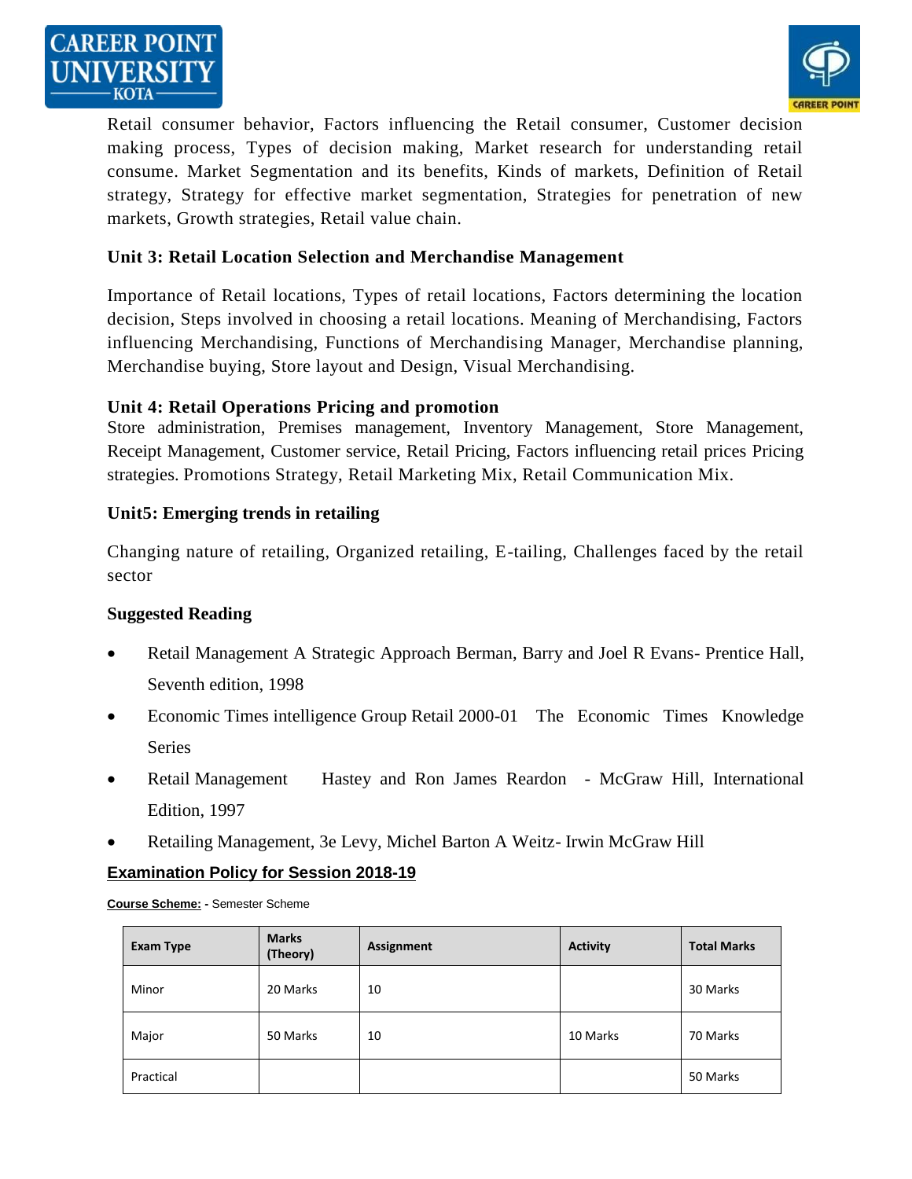



Retail consumer behavior, Factors influencing the Retail consumer, Customer decision making process, Types of decision making, Market research for understanding retail consume. Market Segmentation and its benefits, Kinds of markets, Definition of Retail strategy, Strategy for effective market segmentation, Strategies for penetration of new markets, Growth strategies, Retail value chain.

## **Unit 3: Retail Location Selection and Merchandise Management**

Importance of Retail locations, Types of retail locations, Factors determining the location decision, Steps involved in choosing a retail locations. Meaning of Merchandising, Factors influencing Merchandising, Functions of Merchandising Manager, Merchandise planning, Merchandise buying, Store layout and Design, Visual Merchandising.

## **Unit 4: Retail Operations Pricing and promotion**

Store administration, Premises management, Inventory Management, Store Management, Receipt Management, Customer service, Retail Pricing, Factors influencing retail prices Pricing strategies. Promotions Strategy, Retail Marketing Mix, Retail Communication Mix.

## **Unit5: Emerging trends in retailing**

Changing nature of retailing, Organized retailing, E-tailing, Challenges faced by the retail sector

#### **Suggested Reading**

- Retail Management A Strategic Approach Berman, Barry and Joel R Evans- Prentice Hall, Seventh edition, 1998
- Economic Times intelligence Group Retail 2000-01 The Economic Times Knowledge Series
- Retail Management Hastey and Ron James Reardon McGraw Hill, International Edition, 1997
- Retailing Management, 3e Levy, Michel Barton A Weitz- Irwin McGraw Hill

#### **Examination Policy for Session 2018-19**

**Course Scheme: -** Semester Scheme

| <b>Exam Type</b> | <b>Marks</b><br>(Theory) | Assignment | <b>Activity</b> | <b>Total Marks</b> |
|------------------|--------------------------|------------|-----------------|--------------------|
| Minor            | 20 Marks                 | 10         |                 | 30 Marks           |
| Major            | 50 Marks                 | 10         | 10 Marks        | 70 Marks           |
| Practical        |                          |            |                 | 50 Marks           |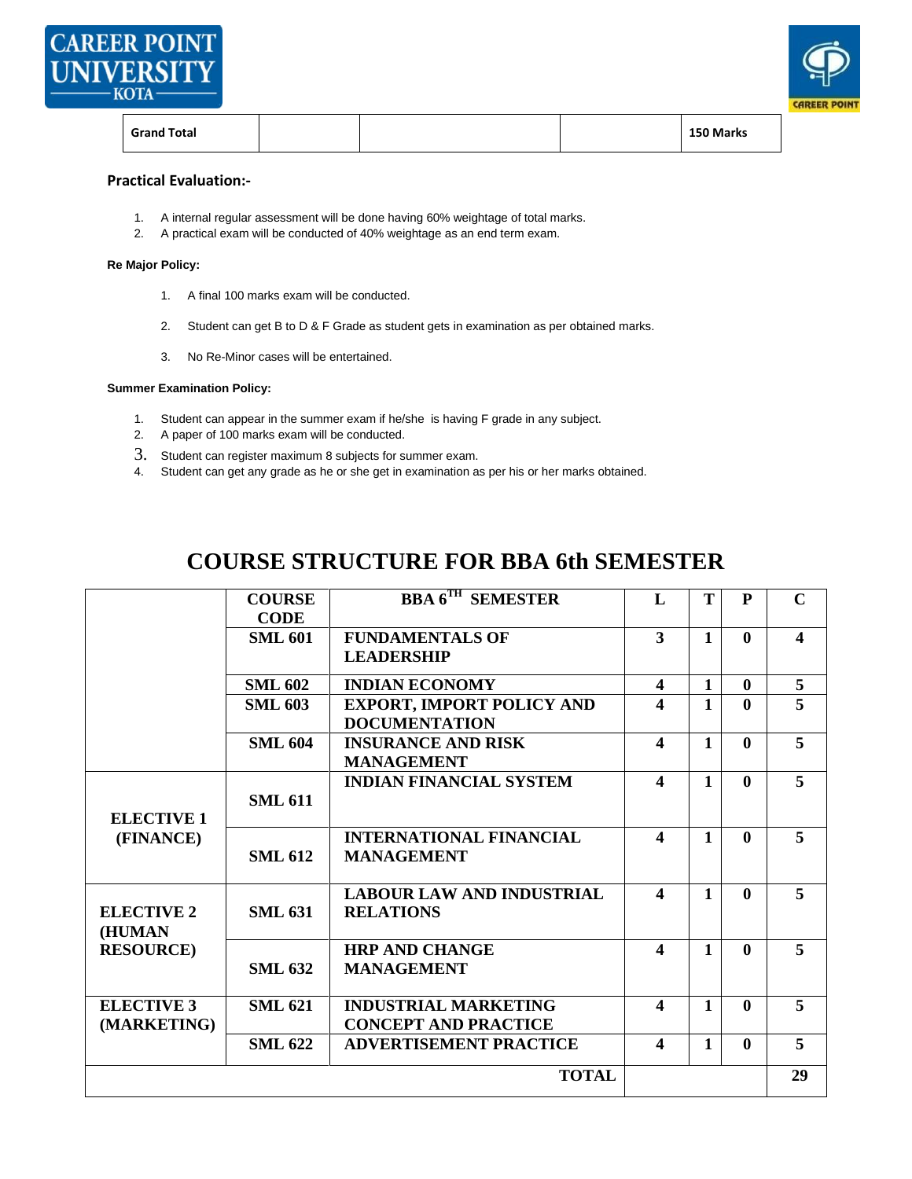



| <b>Grand Total</b> |  |  |  | 150 Marks |
|--------------------|--|--|--|-----------|
|--------------------|--|--|--|-----------|

#### **Practical Evaluation:-**

- 1. A internal regular assessment will be done having 60% weightage of total marks.
- 2. A practical exam will be conducted of 40% weightage as an end term exam.

#### **Re Major Policy:**

- 1. A final 100 marks exam will be conducted.
- 2. Student can get B to D & F Grade as student gets in examination as per obtained marks.
- 3. No Re-Minor cases will be entertained.

#### **Summer Examination Policy:**

- 1. Student can appear in the summer exam if he/she is having F grade in any subject.
- 2. A paper of 100 marks exam will be conducted.
- 3. Student can register maximum 8 subjects for summer exam.
- 4. Student can get any grade as he or she get in examination as per his or her marks obtained.

# **COURSE STRUCTURE FOR BBA 6th SEMESTER**

|                                  | <b>COURSE</b>                 | <b>BBA 6TH SEMESTER</b>                                    | L                      | T            | $\mathbf{P}$ | $\mathbf C$      |
|----------------------------------|-------------------------------|------------------------------------------------------------|------------------------|--------------|--------------|------------------|
|                                  | <b>CODE</b><br><b>SML 601</b> | <b>FUNDAMENTALS OF</b><br><b>LEADERSHIP</b>                | 3                      | $\mathbf{1}$ | $\mathbf{0}$ | $\blacktriangle$ |
|                                  | <b>SML 602</b>                | <b>INDIAN ECONOMY</b>                                      | 4                      | $\mathbf{1}$ | $\mathbf{0}$ | 5                |
|                                  | <b>SML 603</b>                | <b>EXPORT, IMPORT POLICY AND</b><br><b>DOCUMENTATION</b>   | 4                      | $\mathbf{1}$ | $\mathbf{0}$ | 5                |
|                                  | <b>SML 604</b>                | <b>INSURANCE AND RISK</b><br><b>MANAGEMENT</b>             | $\boldsymbol{4}$       | $\mathbf{1}$ | $\mathbf{0}$ | 5                |
| <b>ELECTIVE 1</b><br>(FINANCE)   | <b>SML 611</b>                | <b>INDIAN FINANCIAL SYSTEM</b>                             | $\boldsymbol{4}$       | 1            | $\mathbf{0}$ | 5                |
|                                  | <b>SML 612</b>                | <b>INTERNATIONAL FINANCIAL</b><br><b>MANAGEMENT</b>        | $\boldsymbol{\Lambda}$ | 1            | $\mathbf{0}$ | 5                |
| <b>ELECTIVE 2</b><br>(HUMAN      | <b>SML 631</b>                | <b>LABOUR LAW AND INDUSTRIAL</b><br><b>RELATIONS</b>       | $\blacktriangle$       | $\mathbf{1}$ | $\mathbf{0}$ | 5                |
| <b>RESOURCE</b> )                | <b>SML 632</b>                | <b>HRP AND CHANGE</b><br><b>MANAGEMENT</b>                 | $\boldsymbol{\Delta}$  | $\mathbf{1}$ | $\mathbf{0}$ | 5                |
| <b>ELECTIVE 3</b><br>(MARKETING) | <b>SML 621</b>                | <b>INDUSTRIAL MARKETING</b><br><b>CONCEPT AND PRACTICE</b> | $\boldsymbol{\Delta}$  | 1            | $\mathbf{0}$ | 5                |
|                                  | <b>SML 622</b>                | <b>ADVERTISEMENT PRACTICE</b>                              | $\boldsymbol{4}$       | $\mathbf{1}$ | $\mathbf{0}$ | 5                |
|                                  |                               | <b>TOTAL</b>                                               |                        |              |              | 29               |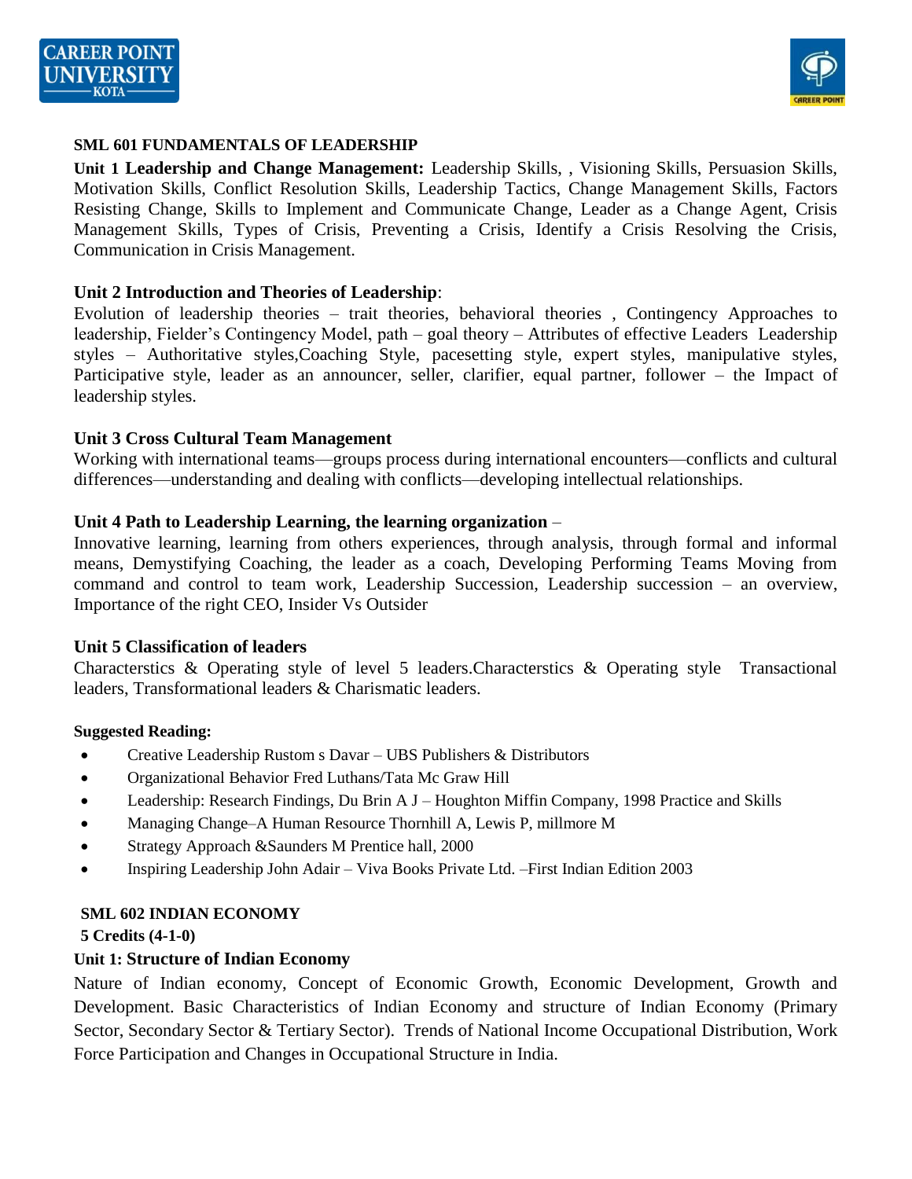



#### **SML 601 FUNDAMENTALS OF LEADERSHIP**

**Unit 1 Leadership and Change Management:** Leadership Skills, , Visioning Skills, Persuasion Skills, Motivation Skills, Conflict Resolution Skills, Leadership Tactics, Change Management Skills, Factors Resisting Change, Skills to Implement and Communicate Change, Leader as a Change Agent, Crisis Management Skills, Types of Crisis, Preventing a Crisis, Identify a Crisis Resolving the Crisis, Communication in Crisis Management.

#### **Unit 2 Introduction and Theories of Leadership**:

Evolution of leadership theories – trait theories, behavioral theories , Contingency Approaches to leadership, Fielder's Contingency Model, path – goal theory – Attributes of effective Leaders Leadership styles – Authoritative styles,Coaching Style, pacesetting style, expert styles, manipulative styles, Participative style, leader as an announcer, seller, clarifier, equal partner, follower – the Impact of leadership styles.

#### **Unit 3 Cross Cultural Team Management**

Working with international teams—groups process during international encounters—conflicts and cultural differences—understanding and dealing with conflicts—developing intellectual relationships.

#### **Unit 4 Path to Leadership Learning, the learning organization** –

Innovative learning, learning from others experiences, through analysis, through formal and informal means, Demystifying Coaching, the leader as a coach, Developing Performing Teams Moving from command and control to team work, Leadership Succession, Leadership succession – an overview, Importance of the right CEO, Insider Vs Outsider

#### **Unit 5 Classification of leaders**

Characterstics & Operating style of level 5 leaders.Characterstics & Operating style Transactional leaders, Transformational leaders & Charismatic leaders.

#### **Suggested Reading:**

- Creative Leadership Rustom s Davar UBS Publishers & Distributors
- Organizational Behavior Fred Luthans/Tata Mc Graw Hill
- Leadership: Research Findings, Du Brin A J Houghton Miffin Company, 1998 Practice and Skills
- Managing Change–A Human Resource Thornhill A, Lewis P, millmore M
- Strategy Approach & Saunders M Prentice hall, 2000
- Inspiring Leadership John Adair Viva Books Private Ltd. –First Indian Edition 2003

#### **SML 602 INDIAN ECONOMY**

**5 Credits (4-1-0)**

#### **Unit 1: Structure of Indian Economy**

Nature of Indian economy, Concept of Economic Growth, Economic Development, Growth and Development. Basic Characteristics of Indian Economy and structure of Indian Economy (Primary Sector, Secondary Sector & Tertiary Sector). Trends of National Income Occupational Distribution, Work Force Participation and Changes in Occupational Structure in India.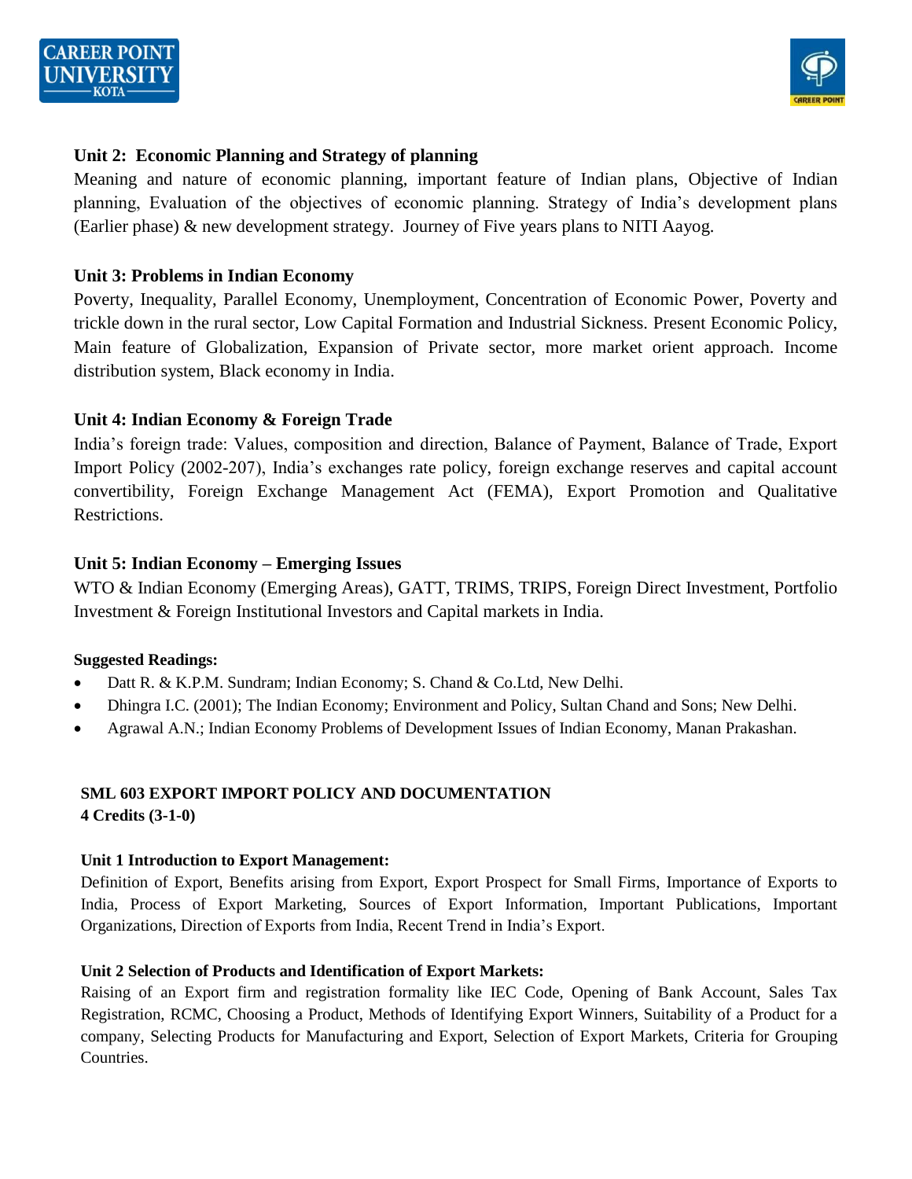



# **Unit 2: Economic Planning and Strategy of planning**

Meaning and nature of economic planning, important feature of Indian plans, Objective of Indian planning, Evaluation of the objectives of economic planning. Strategy of India's development plans (Earlier phase) & new development strategy. Journey of Five years plans to NITI Aayog.

#### **Unit 3: Problems in Indian Economy**

Poverty, Inequality, Parallel Economy, Unemployment, Concentration of Economic Power, Poverty and trickle down in the rural sector, Low Capital Formation and Industrial Sickness. Present Economic Policy, Main feature of Globalization, Expansion of Private sector, more market orient approach. Income distribution system, Black economy in India.

## **Unit 4: Indian Economy & Foreign Trade**

India's foreign trade: Values, composition and direction, Balance of Payment, Balance of Trade, Export Import Policy (2002-207), India's exchanges rate policy, foreign exchange reserves and capital account convertibility, Foreign Exchange Management Act (FEMA), Export Promotion and Qualitative Restrictions.

## **Unit 5: Indian Economy – Emerging Issues**

WTO & Indian Economy (Emerging Areas), GATT, TRIMS, TRIPS, Foreign Direct Investment, Portfolio Investment & Foreign Institutional Investors and Capital markets in India.

#### **Suggested Readings:**

- Datt R. & K.P.M. Sundram; Indian Economy; S. Chand & Co.Ltd, New Delhi.
- Dhingra I.C. (2001); The Indian Economy; Environment and Policy, Sultan Chand and Sons; New Delhi.
- Agrawal A.N.; Indian Economy Problems of Development Issues of Indian Economy, Manan Prakashan.

#### **SML 603 EXPORT IMPORT POLICY AND DOCUMENTATION 4 Credits (3-1-0)**

#### **Unit 1 Introduction to Export Management:**

Definition of Export, Benefits arising from Export, Export Prospect for Small Firms, Importance of Exports to India, Process of Export Marketing, Sources of Export Information, Important Publications, Important Organizations, Direction of Exports from India, Recent Trend in India's Export.

#### **Unit 2 Selection of Products and Identification of Export Markets:**

Raising of an Export firm and registration formality like IEC Code, Opening of Bank Account, Sales Tax Registration, RCMC, Choosing a Product, Methods of Identifying Export Winners, Suitability of a Product for a company, Selecting Products for Manufacturing and Export, Selection of Export Markets, Criteria for Grouping Countries.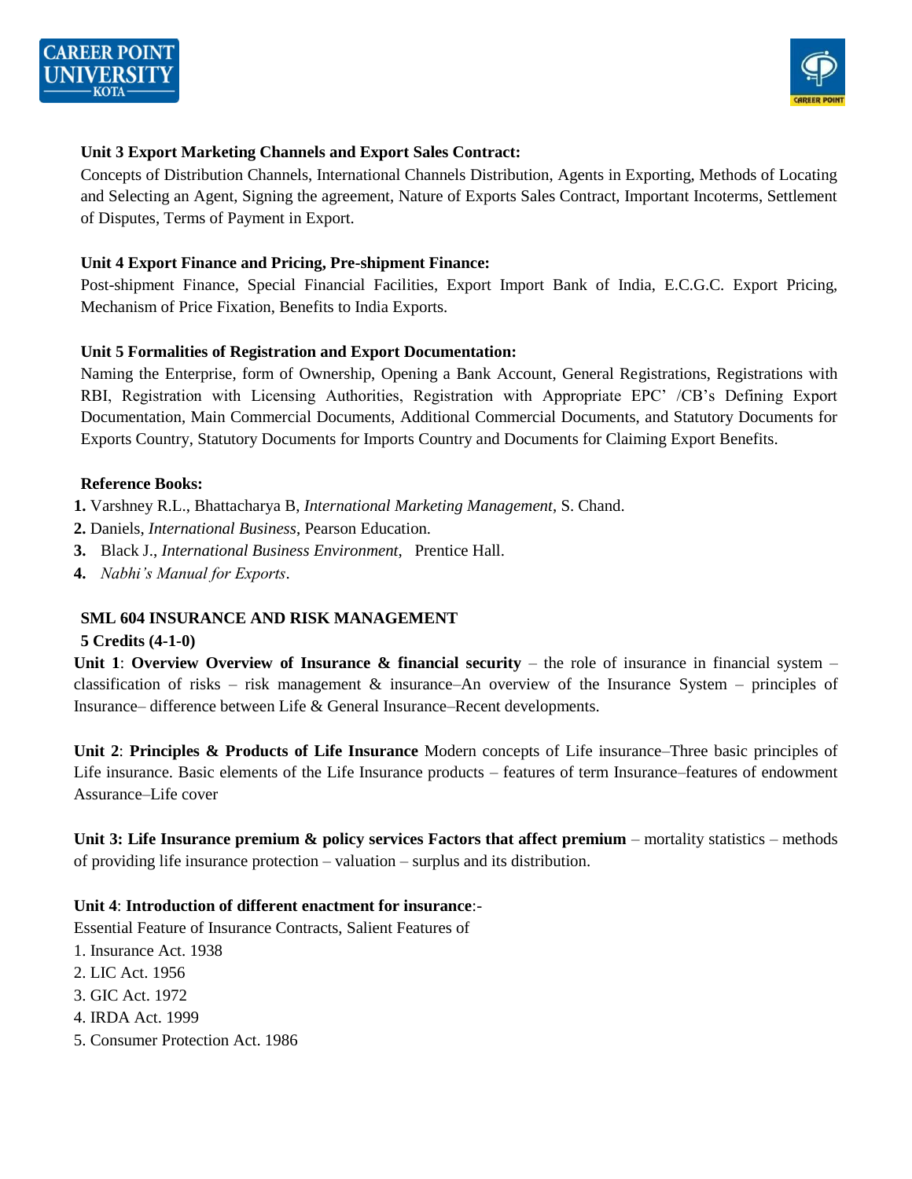



#### **Unit 3 Export Marketing Channels and Export Sales Contract:**

Concepts of Distribution Channels, International Channels Distribution, Agents in Exporting, Methods of Locating and Selecting an Agent, Signing the agreement, Nature of Exports Sales Contract, Important Incoterms, Settlement of Disputes, Terms of Payment in Export.

#### **Unit 4 Export Finance and Pricing, Pre-shipment Finance:**

Post-shipment Finance, Special Financial Facilities, Export Import Bank of India, E.C.G.C. Export Pricing, Mechanism of Price Fixation, Benefits to India Exports.

#### **Unit 5 Formalities of Registration and Export Documentation:**

Naming the Enterprise, form of Ownership, Opening a Bank Account, General Registrations, Registrations with RBI, Registration with Licensing Authorities, Registration with Appropriate EPC' /CB's Defining Export Documentation, Main Commercial Documents, Additional Commercial Documents, and Statutory Documents for Exports Country, Statutory Documents for Imports Country and Documents for Claiming Export Benefits.

#### **Reference Books:**

- **1.** Varshney R.L., Bhattacharya B, *International Marketing Management*, S. Chand.
- **2.** Daniels, *International Business*, Pearson Education.
- **3.** Black J., *International Business Environment*, Prentice Hall.
- **4.** *Nabhi's Manual for Exports*.

#### **SML 604 INSURANCE AND RISK MANAGEMENT**

#### **5 Credits (4-1-0)**

**Unit 1: Overview Overview of Insurance & financial security** – the role of insurance in financial system – classification of risks – risk management & insurance–An overview of the Insurance System – principles of Insurance– difference between Life & General Insurance–Recent developments.

**Unit 2**: **Principles & Products of Life Insurance** Modern concepts of Life insurance–Three basic principles of Life insurance. Basic elements of the Life Insurance products – features of term Insurance–features of endowment Assurance–Life cover

**Unit 3: Life Insurance premium & policy services Factors that affect premium** – mortality statistics – methods of providing life insurance protection – valuation – surplus and its distribution.

#### **Unit 4**: **Introduction of different enactment for insurance**:-

Essential Feature of Insurance Contracts, Salient Features of

- 1. Insurance Act. 1938
- 2. LIC Act. 1956
- 3. GIC Act. 1972
- 4. IRDA Act. 1999
- 5. Consumer Protection Act. 1986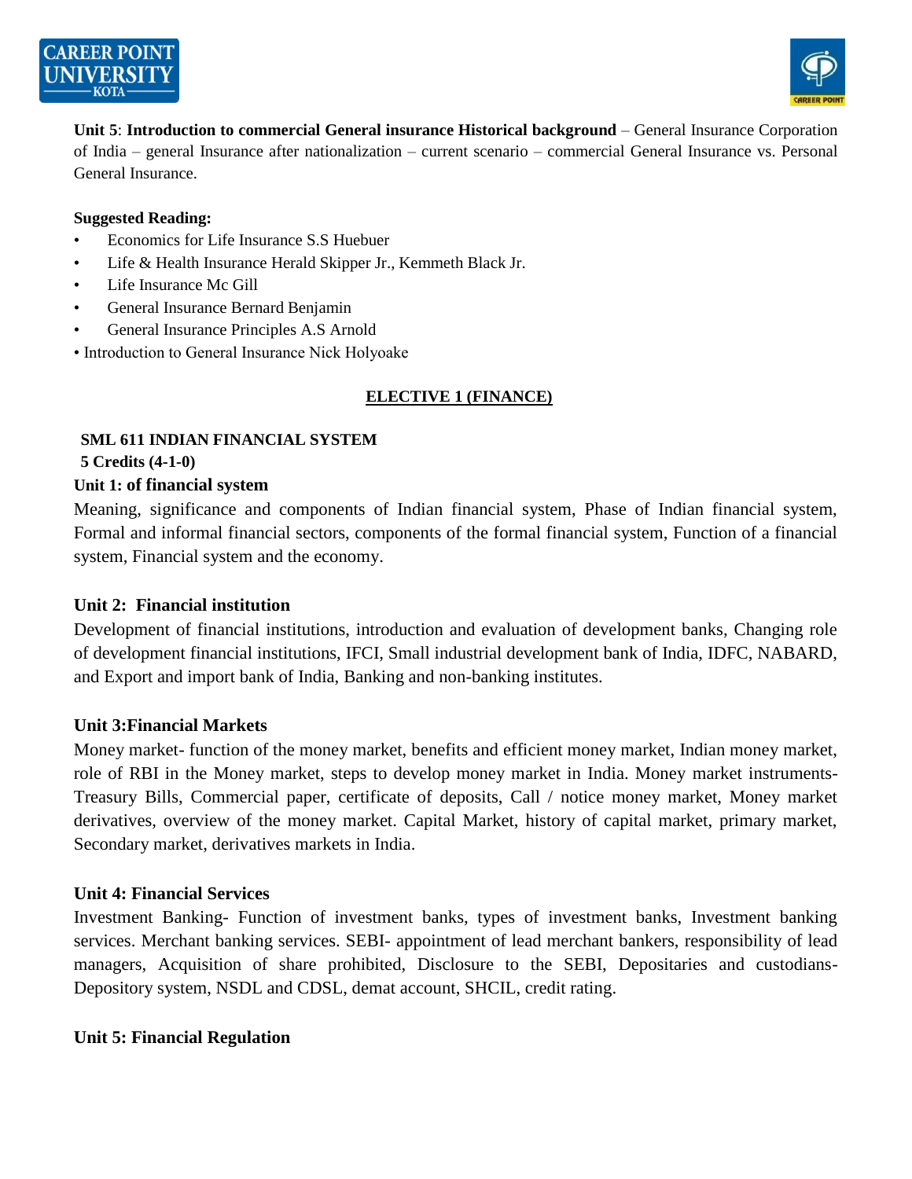



**Unit 5**: **Introduction to commercial General insurance Historical background** – General Insurance Corporation of India – general Insurance after nationalization – current scenario – commercial General Insurance vs. Personal General Insurance.

#### **Suggested Reading:**

- Economics for Life Insurance S.S Huebuer
- Life & Health Insurance Herald Skipper Jr., Kemmeth Black Jr.
- Life Insurance Mc Gill
- General Insurance Bernard Benjamin
- General Insurance Principles A.S Arnold
- Introduction to General Insurance Nick Holyoake

# **ELECTIVE 1 (FINANCE)**

# **SML 611 INDIAN FINANCIAL SYSTEM**

**5 Credits (4-1-0)**

#### **Unit 1: of financial system**

Meaning, significance and components of Indian financial system, Phase of Indian financial system, Formal and informal financial sectors, components of the formal financial system, Function of a financial system, Financial system and the economy.

## **Unit 2: Financial institution**

Development of financial institutions, introduction and evaluation of development banks, Changing role of development financial institutions, IFCI, Small industrial development bank of India, IDFC, NABARD, and Export and import bank of India, Banking and non-banking institutes.

## **Unit 3:Financial Markets**

Money market- function of the money market, benefits and efficient money market, Indian money market, role of RBI in the Money market, steps to develop money market in India. Money market instruments-Treasury Bills, Commercial paper, certificate of deposits, Call / notice money market, Money market derivatives, overview of the money market. Capital Market, history of capital market, primary market, Secondary market, derivatives markets in India.

## **Unit 4: Financial Services**

Investment Banking- Function of investment banks, types of investment banks, Investment banking services. Merchant banking services. SEBI- appointment of lead merchant bankers, responsibility of lead managers, Acquisition of share prohibited, Disclosure to the SEBI, Depositaries and custodians-Depository system, NSDL and CDSL, demat account, SHCIL, credit rating.

## **Unit 5: Financial Regulation**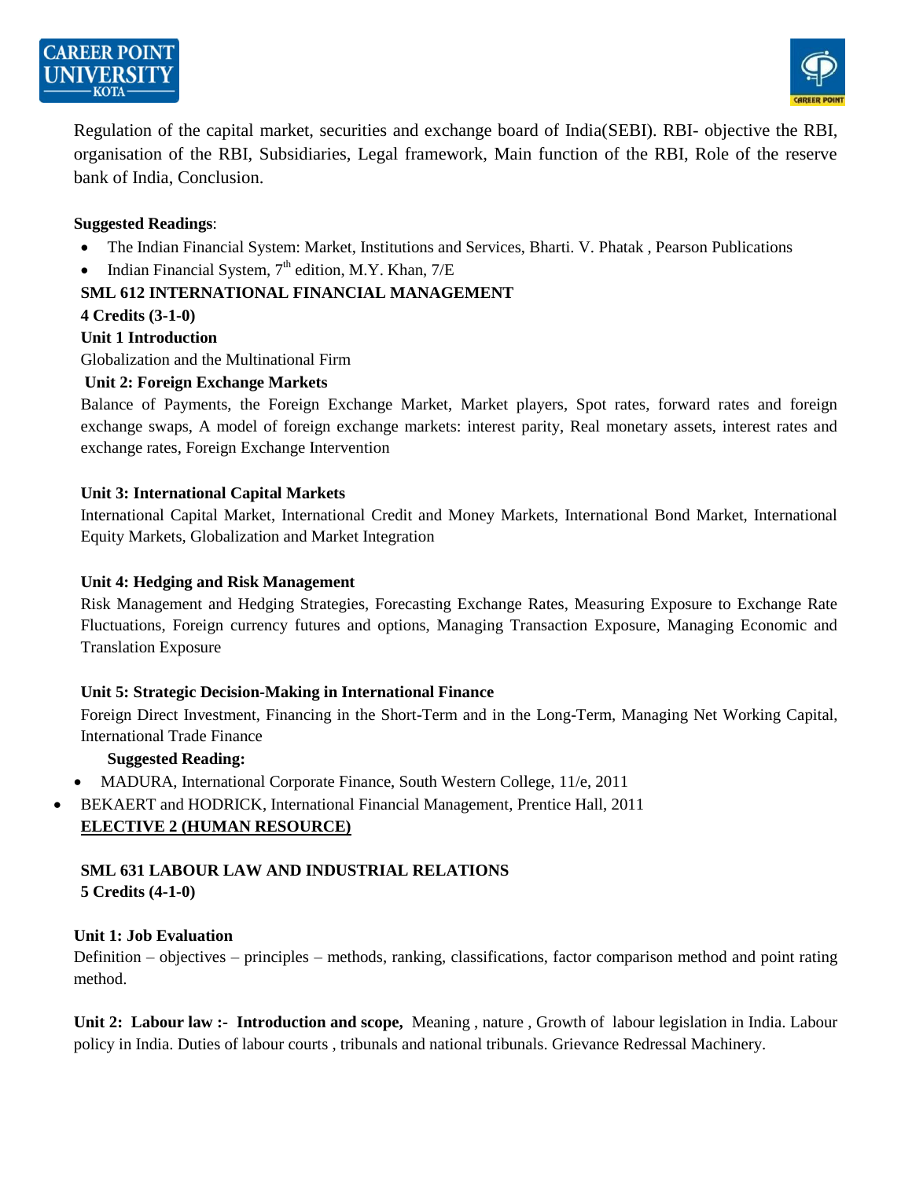



Regulation of the capital market, securities and exchange board of India(SEBI). RBI- objective the RBI, organisation of the RBI, Subsidiaries, Legal framework, Main function of the RBI, Role of the reserve bank of India, Conclusion.

#### **Suggested Readings**:

- The Indian Financial System: Market, Institutions and Services, Bharti. V. Phatak , Pearson Publications
- Indian Financial System,  $7<sup>th</sup>$  edition, M.Y. Khan,  $7/E$

#### **SML 612 INTERNATIONAL FINANCIAL MANAGEMENT**

#### **4 Credits (3-1-0)**

#### **Unit 1 Introduction**

Globalization and the Multinational Firm

#### **Unit 2: Foreign Exchange Markets**

Balance of Payments, the Foreign Exchange Market, Market players, Spot rates, forward rates and foreign exchange swaps, A model of foreign exchange markets: interest parity, Real monetary assets, interest rates and exchange rates, Foreign Exchange Intervention

#### **Unit 3: International Capital Markets**

International Capital Market, International Credit and Money Markets, International Bond Market, International Equity Markets, Globalization and Market Integration

#### **Unit 4: Hedging and Risk Management**

Risk Management and Hedging Strategies, Forecasting Exchange Rates, Measuring Exposure to Exchange Rate Fluctuations, Foreign currency futures and options, Managing Transaction Exposure, Managing Economic and Translation Exposure

#### **Unit 5: Strategic Decision-Making in International Finance**

Foreign Direct Investment, Financing in the Short-Term and in the Long-Term, Managing Net Working Capital, International Trade Finance

## **Suggested Reading:**

- MADURA, International Corporate Finance, South Western College, 11/e, 2011
- BEKAERT and HODRICK, International Financial Management, Prentice Hall, 2011 **ELECTIVE 2 (HUMAN RESOURCE)**

# **SML 631 LABOUR LAW AND INDUSTRIAL RELATIONS**

**5 Credits (4-1-0)**

## **Unit 1: Job Evaluation**

Definition – objectives – principles – methods, ranking, classifications, factor comparison method and point rating method.

**Unit 2: Labour law :- Introduction and scope,** Meaning , nature , Growth of labour legislation in India. Labour policy in India. Duties of labour courts , tribunals and national tribunals. Grievance Redressal Machinery.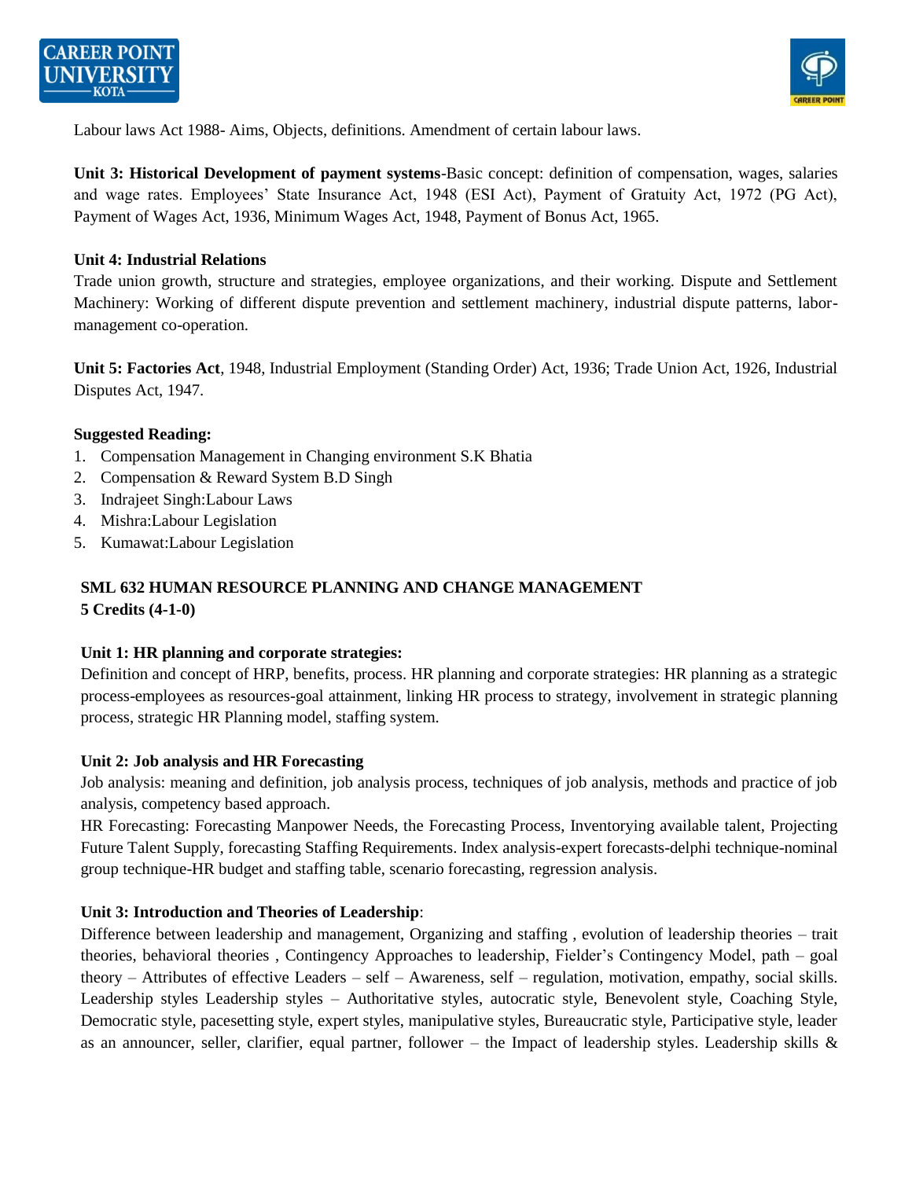



Labour laws Act 1988- Aims, Objects, definitions. Amendment of certain labour laws.

**Unit 3: Historical Development of payment systems**-Basic concept: definition of compensation, wages, salaries and wage rates. Employees' State Insurance Act, 1948 (ESI Act), Payment of Gratuity Act, 1972 (PG Act), Payment of Wages Act, 1936, Minimum Wages Act, 1948, Payment of Bonus Act, 1965.

#### **Unit 4: Industrial Relations**

Trade union growth, structure and strategies, employee organizations, and their working. Dispute and Settlement Machinery: Working of different dispute prevention and settlement machinery, industrial dispute patterns, labormanagement co-operation.

**Unit 5: Factories Act**, 1948, Industrial Employment (Standing Order) Act, 1936; Trade Union Act, 1926, Industrial Disputes Act, 1947.

#### **Suggested Reading:**

- 1. Compensation Management in Changing environment S.K Bhatia
- 2. Compensation & Reward System B.D Singh
- 3. Indrajeet Singh:Labour Laws
- 4. Mishra:Labour Legislation
- 5. Kumawat:Labour Legislation

# **SML 632 HUMAN RESOURCE PLANNING AND CHANGE MANAGEMENT**

# **5 Credits (4-1-0)**

#### **Unit 1: HR planning and corporate strategies:**

Definition and concept of HRP, benefits, process. HR planning and corporate strategies: HR planning as a strategic process-employees as resources-goal attainment, linking HR process to strategy, involvement in strategic planning process, strategic HR Planning model, staffing system.

#### **Unit 2: Job analysis and HR Forecasting**

Job analysis: meaning and definition, job analysis process, techniques of job analysis, methods and practice of job analysis, competency based approach.

HR Forecasting: Forecasting Manpower Needs, the Forecasting Process, Inventorying available talent, Projecting Future Talent Supply, forecasting Staffing Requirements. Index analysis-expert forecasts-delphi technique-nominal group technique-HR budget and staffing table, scenario forecasting, regression analysis.

#### **Unit 3: Introduction and Theories of Leadership**:

Difference between leadership and management, Organizing and staffing , evolution of leadership theories – trait theories, behavioral theories , Contingency Approaches to leadership, Fielder's Contingency Model, path – goal theory – Attributes of effective Leaders – self – Awareness, self – regulation, motivation, empathy, social skills. Leadership styles Leadership styles – Authoritative styles, autocratic style, Benevolent style, Coaching Style, Democratic style, pacesetting style, expert styles, manipulative styles, Bureaucratic style, Participative style, leader as an announcer, seller, clarifier, equal partner, follower – the Impact of leadership styles. Leadership skills  $\&$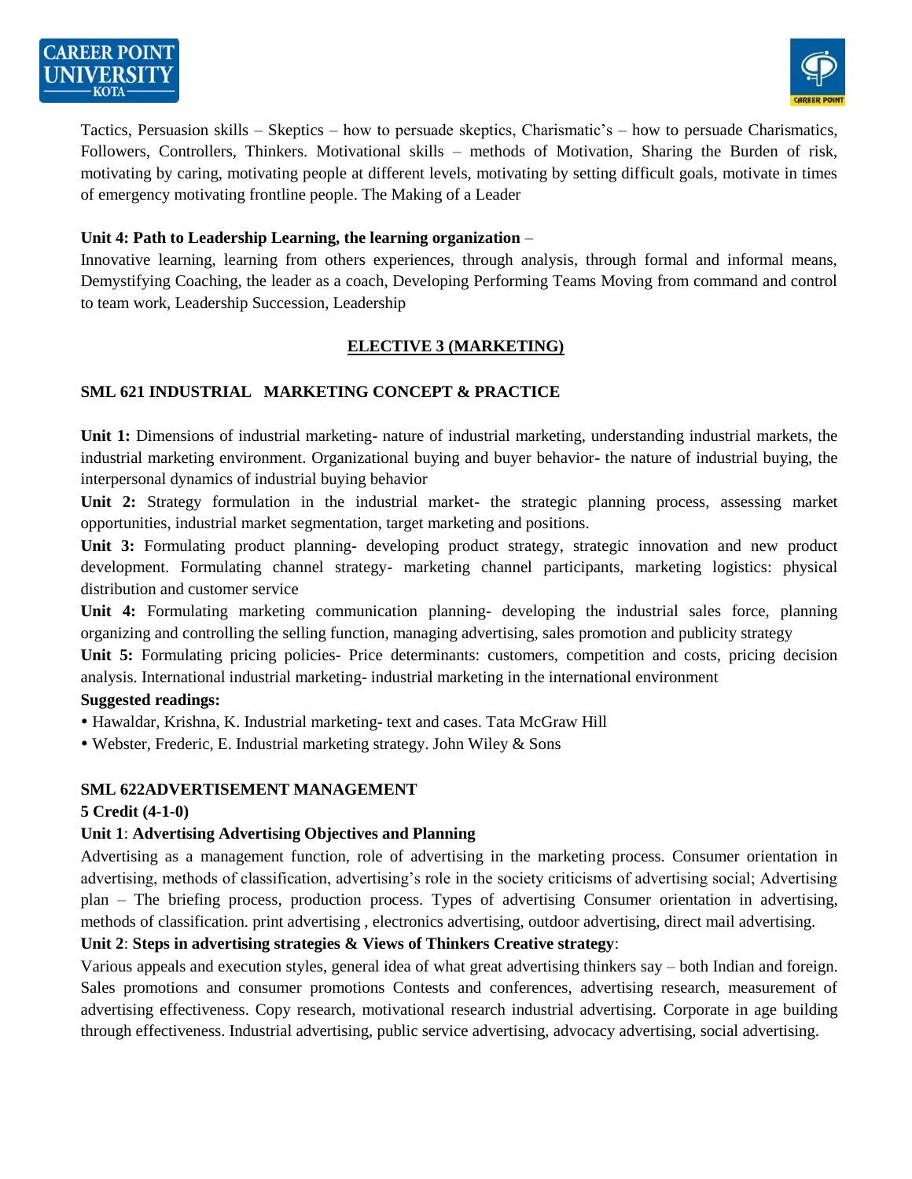

Tactics, Persuasion skills – Skeptics – how to persuade skeptics, Charismatic's – how to persuade Charismatics, Followers, Controllers, Thinkers. Motivational skills – methods of Motivation, Sharing the Burden of risk, motivating by caring, motivating people at different levels, motivating by setting difficult goals, motivate in times of emergency motivating frontline people. The Making of a Leader

#### **Unit 4: Path to Leadership Learning, the learning organization** –

Innovative learning, learning from others experiences, through analysis, through formal and informal means, Demystifying Coaching, the leader as a coach, Developing Performing Teams Moving from command and control to team work, Leadership Succession, Leadership

## **ELECTIVE 3 (MARKETING)**

## **SML 621 INDUSTRIAL MARKETING CONCEPT & PRACTICE**

**Unit 1:** Dimensions of industrial marketing- nature of industrial marketing, understanding industrial markets, the industrial marketing environment. Organizational buying and buyer behavior- the nature of industrial buying, the interpersonal dynamics of industrial buying behavior

**Unit 2:** Strategy formulation in the industrial market- the strategic planning process, assessing market opportunities, industrial market segmentation, target marketing and positions.

**Unit 3:** Formulating product planning- developing product strategy, strategic innovation and new product development. Formulating channel strategy- marketing channel participants, marketing logistics: physical distribution and customer service

**Unit 4:** Formulating marketing communication planning- developing the industrial sales force, planning organizing and controlling the selling function, managing advertising, sales promotion and publicity strategy

**Unit 5:** Formulating pricing policies- Price determinants: customers, competition and costs, pricing decision analysis. International industrial marketing- industrial marketing in the international environment

#### **Suggested readings:**

- Hawaldar, Krishna, K. Industrial marketing- text and cases. Tata McGraw Hill
- Webster, Frederic, E. Industrial marketing strategy. John Wiley & Sons

## **SML 622ADVERTISEMENT MANAGEMENT**

#### **5 Credit (4-1-0)**

## **Unit 1**: **Advertising Advertising Objectives and Planning**

Advertising as a management function, role of advertising in the marketing process. Consumer orientation in advertising, methods of classification, advertising's role in the society criticisms of advertising social; Advertising plan – The briefing process, production process. Types of advertising Consumer orientation in advertising, methods of classification. print advertising , electronics advertising, outdoor advertising, direct mail advertising.

## **Unit 2**: **Steps in advertising strategies & Views of Thinkers Creative strategy**:

Various appeals and execution styles, general idea of what great advertising thinkers say – both Indian and foreign. Sales promotions and consumer promotions Contests and conferences, advertising research, measurement of advertising effectiveness. Copy research, motivational research industrial advertising. Corporate in age building through effectiveness. Industrial advertising, public service advertising, advocacy advertising, social advertising.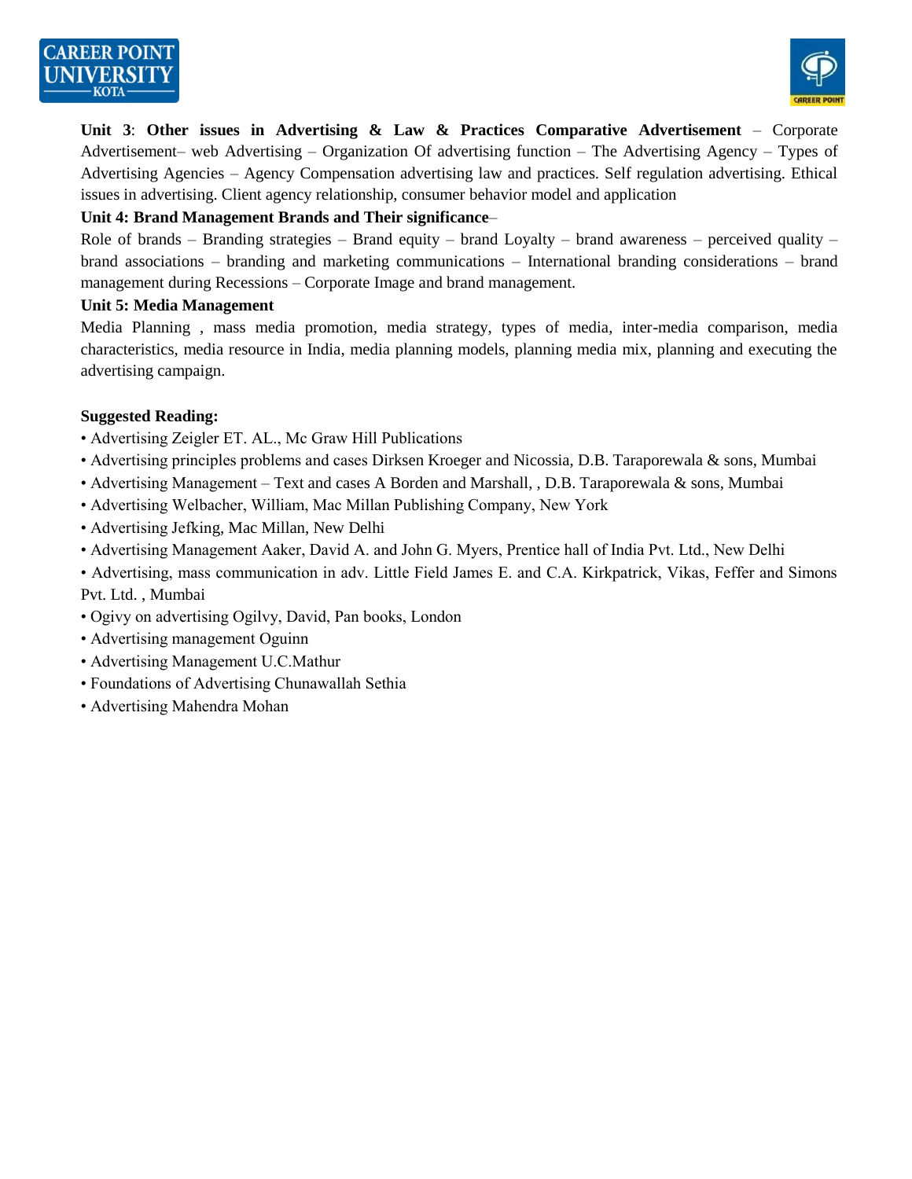

**Unit 3**: **Other issues in Advertising & Law & Practices Comparative Advertisement** – Corporate Advertisement– web Advertising – Organization Of advertising function – The Advertising Agency – Types of Advertising Agencies – Agency Compensation advertising law and practices. Self regulation advertising. Ethical issues in advertising. Client agency relationship, consumer behavior model and application

#### **Unit 4: Brand Management Brands and Their significance**–

Role of brands – Branding strategies – Brand equity – brand Loyalty – brand awareness – perceived quality – brand associations – branding and marketing communications – International branding considerations – brand management during Recessions – Corporate Image and brand management.

#### **Unit 5: Media Management**

Media Planning , mass media promotion, media strategy, types of media, inter-media comparison, media characteristics, media resource in India, media planning models, planning media mix, planning and executing the advertising campaign.

#### **Suggested Reading:**

- Advertising Zeigler ET. AL., Mc Graw Hill Publications
- Advertising principles problems and cases Dirksen Kroeger and Nicossia, D.B. Taraporewala & sons, Mumbai
- Advertising Management Text and cases A Borden and Marshall, , D.B. Taraporewala & sons, Mumbai
- Advertising Welbacher, William, Mac Millan Publishing Company, New York
- Advertising Jefking, Mac Millan, New Delhi
- Advertising Management Aaker, David A. and John G. Myers, Prentice hall of India Pvt. Ltd., New Delhi
- Advertising, mass communication in adv. Little Field James E. and C.A. Kirkpatrick, Vikas, Feffer and Simons Pvt. Ltd. , Mumbai
- Ogivy on advertising Ogilvy, David, Pan books, London
- Advertising management Oguinn
- Advertising Management U.C.Mathur
- Foundations of Advertising Chunawallah Sethia
- Advertising Mahendra Mohan